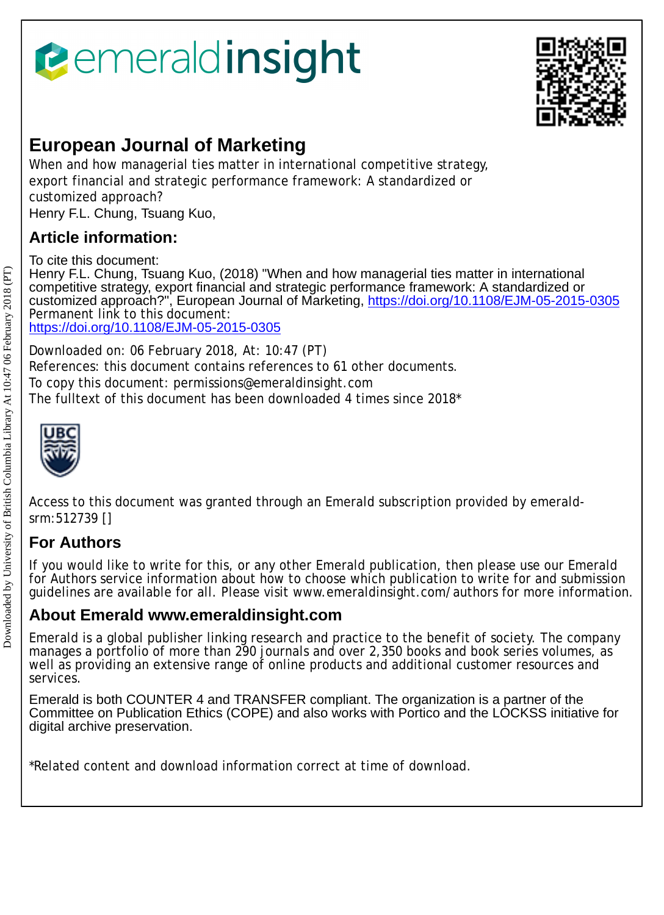# *<u><b>e*emeraldinsight</u>



## **European Journal of Marketing**

When and how managerial ties matter in international competitive strategy, export financial and strategic performance framework: A standardized or customized approach? Henry F.L. Chung, Tsuang Kuo,

## **Article information:**

To cite this document:

Henry F.L. Chung, Tsuang Kuo, (2018) "When and how managerial ties matter in international competitive strategy, export financial and strategic performance framework: A standardized or customized approach?", European Journal of Marketing,<https://doi.org/10.1108/EJM-05-2015-0305> Permanent link to this document: <https://doi.org/10.1108/EJM-05-2015-0305>

Downloaded on: 06 February 2018, At: 10:47 (PT) References: this document contains references to 61 other documents. To copy this document: permissions@emeraldinsight.com The fulltext of this document has been downloaded 4 times since 2018\*



Access to this document was granted through an Emerald subscription provided by emeraldsrm:512739 []

## **For Authors**

If you would like to write for this, or any other Emerald publication, then please use our Emerald for Authors service information about how to choose which publication to write for and submission guidelines are available for all. Please visit www.emeraldinsight.com/authors for more information.

### **About Emerald www.emeraldinsight.com**

Emerald is a global publisher linking research and practice to the benefit of society. The company manages a portfolio of more than 290 journals and over 2,350 books and book series volumes, as well as providing an extensive range of online products and additional customer resources and services.

Emerald is both COUNTER 4 and TRANSFER compliant. The organization is a partner of the Committee on Publication Ethics (COPE) and also works with Portico and the LOCKSS initiative for digital archive preservation.

\*Related content and download information correct at time of download.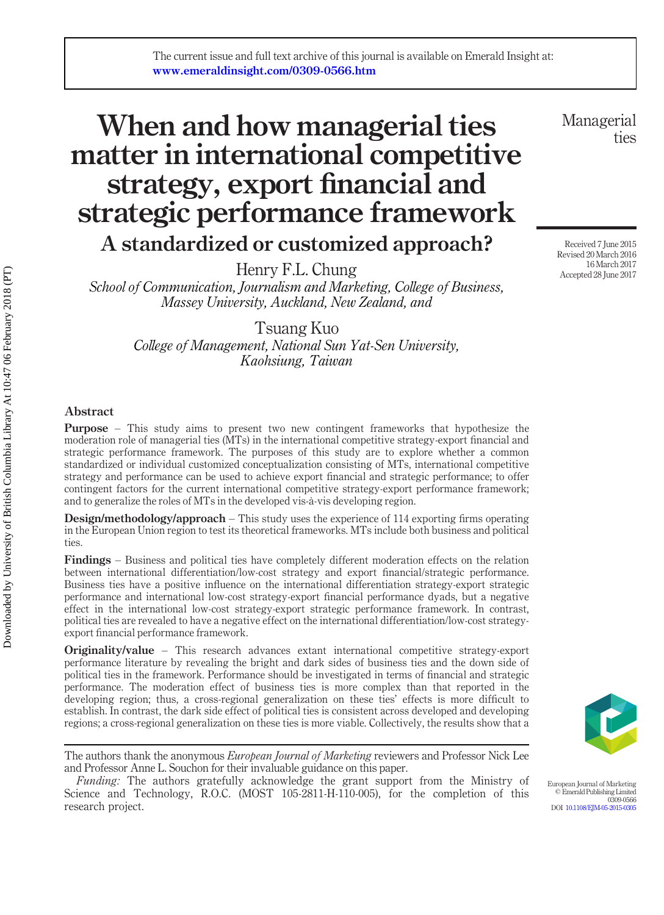## When and how managerial ties matter in international competitive strategy, export financial and strategic performance framework A standardized or customized approach?

Henry F.L. Chung

School of Communication, Journalism and Marketing, College of Business, Massey University, Auckland, New Zealand, and

Tsuang Kuo

College of Management, National Sun Yat-Sen University, Kaohsiung, Taiwan

#### Abstract

**Purpose** – This study aims to present two new contingent frameworks that hypothesize the moderation role of managerial ties (MTs) in the international competitive strategy-export financial and strategic performance framework. The purposes of this study are to explore whether a common standardized or individual customized conceptualization consisting of MTs, international competitive strategy and performance can be used to achieve export financial and strategic performance; to offer contingent factors for the current international competitive strategy-export performance framework; and to generalize the roles of MTs in the developed vis-à-vis developing region.

**Design/methodology/approach** – This study uses the experience of 114 exporting firms operating in the European Union region to test its theoretical frameworks. MTs include both business and political ties.

Findings – Business and political ties have completely different moderation effects on the relation between international differentiation/low-cost strategy and export financial/strategic performance. Business ties have a positive influence on the international differentiation strategy-export strategic performance and international low-cost strategy-export financial performance dyads, but a negative effect in the international low-cost strategy-export strategic performance framework. In contrast, political ties are revealed to have a negative effect on the international differentiation/low-cost strategyexport financial performance framework.

Originality/value - This research advances extant international competitive strategy-export performance literature by revealing the bright and dark sides of business ties and the down side of political ties in the framework. Performance should be investigated in terms of financial and strategic performance. The moderation effect of business ties is more complex than that reported in the developing region; thus, a cross-regional generalization on these ties' effects is more difficult to establish. In contrast, the dark side effect of political ties is consistent across developed and developing regions; a cross-regional generalization on these ties is more viable. Collectively, the results show that a

Received 7 June 2015 Revised 20 March 2016 16 March 2017 Accepted 28 June 2017

Managerial

ties



European Journal of Marketing © Emerald Publishing Limited 0309-0566 DOI [10.1108/EJM-05-2015-0305](http://dx.doi.org/10.1108/EJM-05-2015-0305)

The authors thank the anonymous *European Journal of Marketing* reviewers and Professor Nick Lee and Professor Anne L. Souchon for their invaluable guidance on this paper.

Funding: The authors gratefully acknowledge the grant support from the Ministry of Science and Technology, R.O.C. (MOST 105-2811-H-110-005), for the completion of this research project.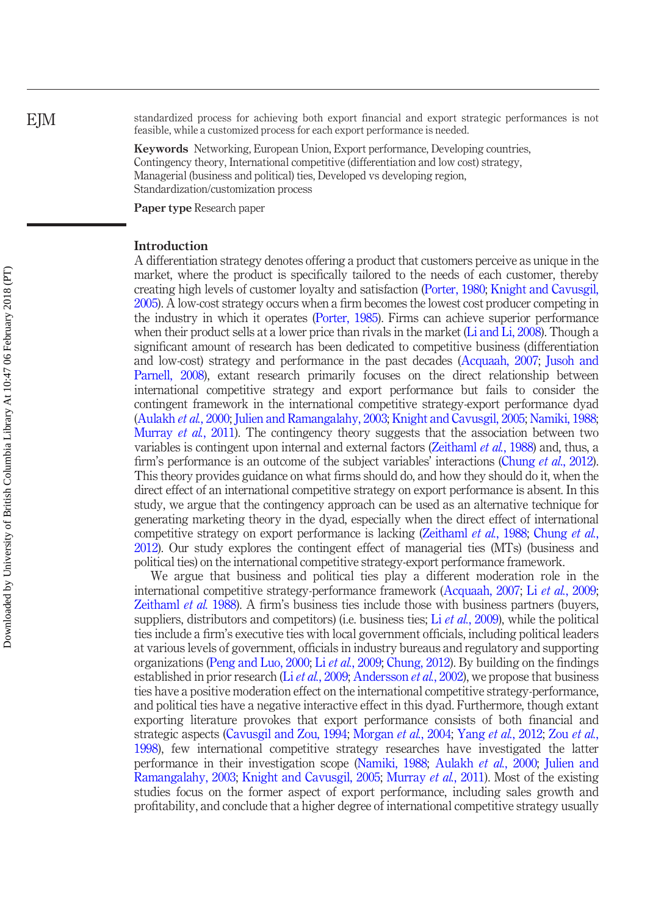standardized process for achieving both export financial and export strategic performances is not feasible, while a customized process for each export performance is needed.

Keywords Networking, European Union, Export performance, Developing countries, Contingency theory, International competitive (differentiation and low cost) strategy, Managerial (business and political) ties, Developed vs developing region, Standardization/customization process

Paper type Research paper

#### Introduction

A differentiation strategy denotes offering a product that customers perceive as unique in the market, where the product is specifically tailored to the needs of each customer, thereby creating high levels of customer loyalty and satisfaction [\(Porter, 1980;](#page-19-0) [Knight and Cavusgil,](#page-18-0) [2005](#page-18-0)). A low-cost strategy occurs when a firm becomes the lowest cost producer competing in the industry in which it operates ([Porter, 1985\)](#page-19-1). Firms can achieve superior performance when their product sells at a lower price than rivals in the market ([Li and Li, 2008](#page-18-1)). Though a significant amount of research has been dedicated to competitive business (differentiation and low-cost) strategy and performance in the past decades ([Acquaah, 2007;](#page-16-0) [Jusoh and](#page-18-2) [Parnell, 2008\)](#page-18-2), extant research primarily focuses on the direct relationship between international competitive strategy and export performance but fails to consider the contingent framework in the international competitive strategy-export performance dyad [\(Aulakh](#page-17-0) et al., 2000; [Julien and Ramangalahy, 2003;](#page-18-3) [Knight and Cavusgil, 2005](#page-18-0); [Namiki, 1988;](#page-18-4) [Murray](#page-18-5) *et al.*, 2011). The contingency theory suggests that the association between two variables is contingent upon internal and external factors ([Zeithaml](#page-19-2) et al., 1988) and, thus, a firm's performance is an outcome of the subject variables' interactions ([Chung](#page-17-1) *et al.*, 2012). This theory provides guidance on what firms should do, and how they should do it, when the direct effect of an international competitive strategy on export performance is absent. In this study, we argue that the contingency approach can be used as an alternative technique for generating marketing theory in the dyad, especially when the direct effect of international competitive strategy on export performance is lacking [\(Zeithaml](#page-19-2) et al., 1988; [Chung](#page-17-1) et al., [2012](#page-17-1)). Our study explores the contingent effect of managerial ties (MTs) (business and political ties) on the international competitive strategy-export performance framework.

We argue that business and political ties play a different moderation role in the international competitive strategy-performance framework ([Acquaah, 2007](#page-16-0); Li et al.[, 2009](#page-18-6); [Zeithaml](#page-19-2) et al. 1988). A firm's business ties include those with business partners (buyers, suppliers, distributors and competitors) (i.e. business ties; Li  $et$  al.[, 2009](#page-18-6)), while the political ties include a firm's executive ties with local government officials, including political leaders at various levels of government, officials in industry bureaus and regulatory and supporting organizations ([Peng and Luo, 2000](#page-18-7); Li et al.[, 2009](#page-18-6); [Chung, 2012](#page-17-2)). By building on the findings established in prior research (Li *et al.*[, 2009;](#page-18-6) [Andersson](#page-17-3) *et al.*, 2002), we propose that business ties have a positive moderation effect on the international competitive strategy-performance, and political ties have a negative interactive effect in this dyad. Furthermore, though extant exporting literature provokes that export performance consists of both financial and strategic aspects [\(Cavusgil and Zou, 1994](#page-17-4); [Morgan](#page-18-8) et al., 2004; Yang et al.[, 2012](#page-19-3); Zou [et al.](#page-19-4), [1998](#page-19-4)), few international competitive strategy researches have investigated the latter performance in their investigation scope ([Namiki, 1988](#page-18-4); [Aulakh](#page-17-0) et al., 2000; [Julien and](#page-18-3) [Ramangalahy, 2003](#page-18-3); [Knight and Cavusgil, 2005;](#page-18-0) [Murray](#page-18-5) et al., 2011). Most of the existing studies focus on the former aspect of export performance, including sales growth and profitability, and conclude that a higher degree of international competitive strategy usually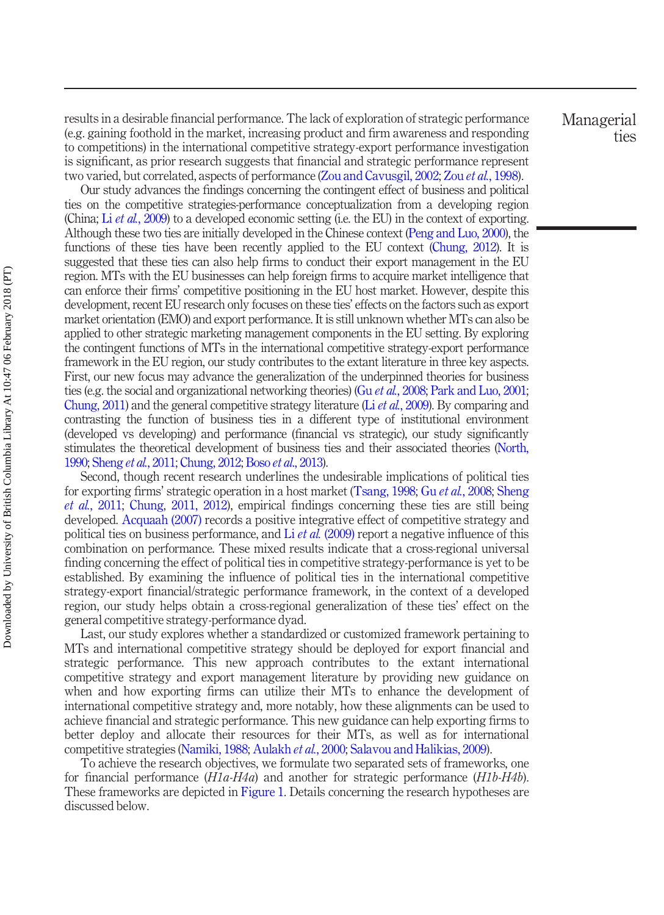results in a desirable financial performance. The lack of exploration of strategic performance (e.g. gaining foothold in the market, increasing product and firm awareness and responding to competitions) in the international competitive strategy-export performance investigation is significant, as prior research suggests that financial and strategic performance represent two varied, but correlated, aspects of performance ([Zou and Cavusgil, 2002](#page-19-5); Zou *et al.*[, 1998\)](#page-19-4).

Our study advances the findings concerning the contingent effect of business and political ties on the competitive strategies-performance conceptualization from a developing region (China; Li et al.[, 2009](#page-18-6)) to a developed economic setting (i.e. the EU) in the context of exporting. Although these two ties are initially developed in the Chinese context ([Peng and Luo, 2000](#page-18-7)), the functions of these ties have been recently applied to the EU context [\(Chung, 2012\)](#page-17-2). It is suggested that these ties can also help firms to conduct their export management in the EU region. MTs with the EU businesses can help foreign firms to acquire market intelligence that can enforce their firms' competitive positioning in the EU host market. However, despite this development, recent EU research only focuses on these ties' effects on the factors such as export market orientation (EMO) and export performance. It is still unknown whether MTs can also be applied to other strategic marketing management components in the EU setting. By exploring the contingent functions of MTs in the international competitive strategy-export performance framework in the EU region, our study contributes to the extant literature in three key aspects. First, our new focus may advance the generalization of the underpinned theories for business ties (e.g. the social and organizational networking theories) (Gu et al.[, 2008](#page-17-5); [Park and Luo, 2001](#page-18-9); [Chung, 2011](#page-17-6)) and the general competitive strategy literature (Li et al.[, 2009\)](#page-18-6). By comparing and contrasting the function of business ties in a different type of institutional environment (developed vs developing) and performance (financial vs strategic), our study significantly stimulates the theoretical development of business ties and their associated theories [\(North,](#page-18-10) [1990;](#page-18-10) [Sheng](#page-19-6) et al., 2011; [Chung, 2012](#page-17-2); Boso et al[., 2013\)](#page-17-7).

Second, though recent research underlines the undesirable implications of political ties for exporting firms' strategic operation in a host market ([Tsang, 1998;](#page-19-7) Gu *et al.*[, 2008](#page-17-5); [Sheng](#page-19-6) et al.[, 2011;](#page-19-6) [Chung,](#page-17-6) [2011, 2012\)](#page-17-2), empirical findings concerning these ties are still being developed. [Acquaah \(2007\)](#page-16-0) records a positive integrative effect of competitive strategy and political ties on business performance, and Li et al. [\(2009\)](#page-18-6) report a negative influence of this combination on performance. These mixed results indicate that a cross-regional universal finding concerning the effect of political ties in competitive strategy-performance is yet to be established. By examining the influence of political ties in the international competitive strategy-export financial/strategic performance framework, in the context of a developed region, our study helps obtain a cross-regional generalization of these ties' effect on the general competitive strategy-performance dyad.

Last, our study explores whether a standardized or customized framework pertaining to MTs and international competitive strategy should be deployed for export financial and strategic performance. This new approach contributes to the extant international competitive strategy and export management literature by providing new guidance on when and how exporting firms can utilize their MTs to enhance the development of international competitive strategy and, more notably, how these alignments can be used to achieve financial and strategic performance. This new guidance can help exporting firms to better deploy and allocate their resources for their MTs, as well as for international competitive strategies ([Namiki, 1988](#page-18-4); [Aulakh](#page-17-0) et al., 2000; [Salavou and Halikias, 2009\)](#page-19-8).

To achieve the research objectives, we formulate two separated sets of frameworks, one for financial performance  $(H1a-H4a)$  and another for strategic performance  $(H1b-H4b)$ . These frameworks are depicted in [Figure 1](#page-4-0). Details concerning the research hypotheses are discussed below.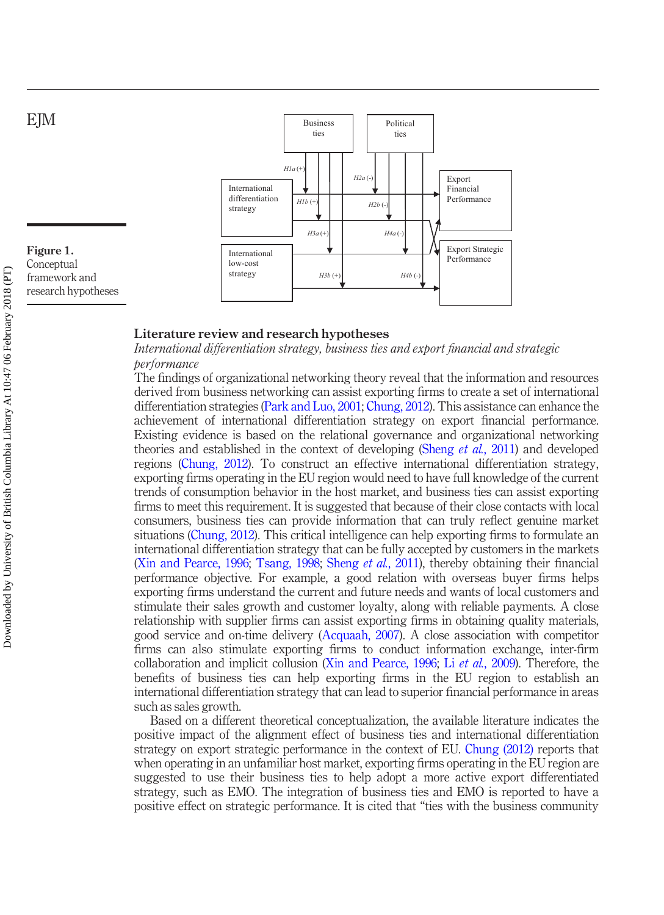

#### <span id="page-4-0"></span>Literature review and research hypotheses

International differentiation strategy, business ties and export financial and strategic performance

The findings of organizational networking theory reveal that the information and resources derived from business networking can assist exporting firms to create a set of international differentiation strategies [\(Park and Luo, 2001;](#page-18-9) [Chung, 2012](#page-17-2)). This assistance can enhance the achievement of international differentiation strategy on export financial performance. Existing evidence is based on the relational governance and organizational networking theories and established in the context of developing ([Sheng](#page-19-6) et al., 2011) and developed regions ([Chung, 2012](#page-17-2)). To construct an effective international differentiation strategy, exporting firms operating in the EU region would need to have full knowledge of the current trends of consumption behavior in the host market, and business ties can assist exporting firms to meet this requirement. It is suggested that because of their close contacts with local consumers, business ties can provide information that can truly reflect genuine market situations ([Chung, 2012](#page-17-2)). This critical intelligence can help exporting firms to formulate an international differentiation strategy that can be fully accepted by customers in the markets [\(Xin and Pearce, 1996;](#page-19-9) [Tsang, 1998;](#page-19-7) [Sheng](#page-19-6) et al., 2011), thereby obtaining their financial performance objective. For example, a good relation with overseas buyer firms helps exporting firms understand the current and future needs and wants of local customers and stimulate their sales growth and customer loyalty, along with reliable payments. A close relationship with supplier firms can assist exporting firms in obtaining quality materials, good service and on-time delivery [\(Acquaah, 2007\)](#page-16-0). A close association with competitor firms can also stimulate exporting firms to conduct information exchange, inter-firm collaboration and implicit collusion [\(Xin and Pearce, 1996;](#page-19-9) Li  $et$  al.[, 2009\)](#page-18-6). Therefore, the benefits of business ties can help exporting firms in the EU region to establish an international differentiation strategy that can lead to superior financial performance in areas such as sales growth.

Based on a different theoretical conceptualization, the available literature indicates the positive impact of the alignment effect of business ties and international differentiation strategy on export strategic performance in the context of EU. [Chung \(2012\)](#page-17-2) reports that when operating in an unfamiliar host market, exporting firms operating in the EU region are suggested to use their business ties to help adopt a more active export differentiated strategy, such as EMO. The integration of business ties and EMO is reported to have a positive effect on strategic performance. It is cited that "ties with the business community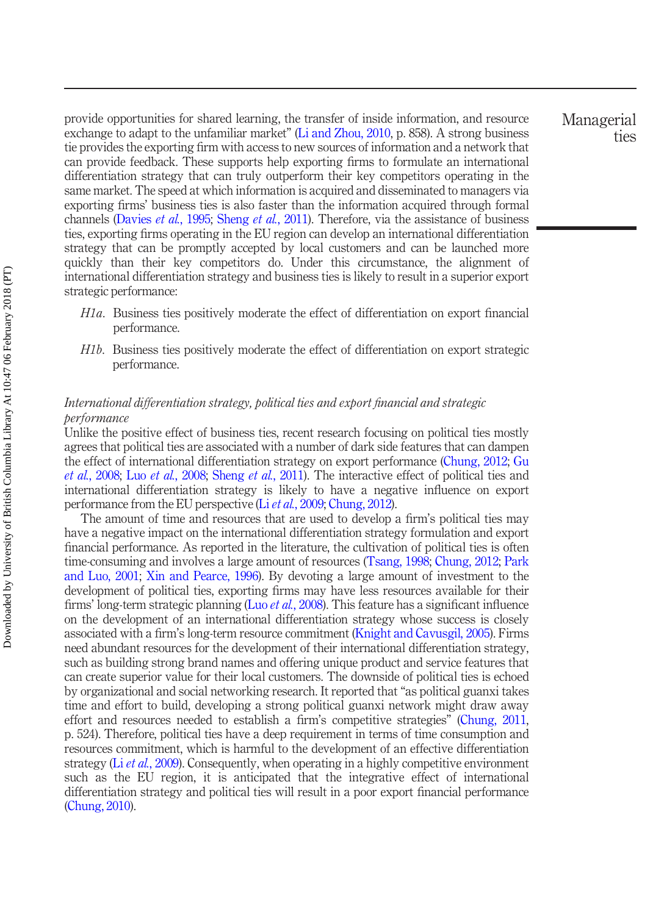provide opportunities for shared learning, the transfer of inside information, and resource exchange to adapt to the unfamiliar market" ([Li and Zhou, 2010](#page-18-11), p. 858). A strong business tie provides the exporting firm with access to new sources of information and a network that can provide feedback. These supports help exporting firms to formulate an international differentiation strategy that can truly outperform their key competitors operating in the same market. The speed at which information is acquired and disseminated to managers via exporting firms' business ties is also faster than the information acquired through formal channels ([Davies](#page-17-8) *et al.*, 1995; [Sheng](#page-19-6) *et al.*, 2011). Therefore, via the assistance of business ties, exporting firms operating in the EU region can develop an international differentiation strategy that can be promptly accepted by local customers and can be launched more quickly than their key competitors do. Under this circumstance, the alignment of international differentiation strategy and business ties is likely to result in a superior export strategic performance:

- H1a. Business ties positively moderate the effect of differentiation on export financial performance.
- H1b. Business ties positively moderate the effect of differentiation on export strategic performance.

#### International differentiation strategy, political ties and export financial and strategic performance

Unlike the positive effect of business ties, recent research focusing on political ties mostly agrees that political ties are associated with a number of dark side features that can dampen the effect of international differentiation strategy on export performance ([Chung, 2012](#page-17-2); [Gu](#page-17-5) et al.[, 2008;](#page-17-5) Luo et al.[, 2008;](#page-18-12) [Sheng](#page-19-6) et al., 2011). The interactive effect of political ties and international differentiation strategy is likely to have a negative influence on export performance from the EU perspective (Li *et al.*[, 2009;](#page-18-6) [Chung, 2012\)](#page-17-2).

The amount of time and resources that are used to develop a firm's political ties may have a negative impact on the international differentiation strategy formulation and export financial performance. As reported in the literature, the cultivation of political ties is often time-consuming and involves a large amount of resources [\(Tsang, 1998](#page-19-7); [Chung, 2012](#page-17-2); [Park](#page-18-9) [and Luo, 2001](#page-18-9); [Xin and Pearce, 1996\)](#page-19-9). By devoting a large amount of investment to the development of political ties, exporting firms may have less resources available for their firms' long-term strategic planning (Luo et al.[, 2008\)](#page-18-12). This feature has a significant influence on the development of an international differentiation strategy whose success is closely associated with a firm's long-term resource commitment [\(Knight and Cavusgil, 2005](#page-18-0)). Firms need abundant resources for the development of their international differentiation strategy, such as building strong brand names and offering unique product and service features that can create superior value for their local customers. The downside of political ties is echoed by organizational and social networking research. It reported that "as political guanxi takes time and effort to build, developing a strong political guanxi network might draw away effort and resources needed to establish a firm's competitive strategies" [\(Chung, 2011](#page-17-6), p. 524). Therefore, political ties have a deep requirement in terms of time consumption and resources commitment, which is harmful to the development of an effective differentiation strategy (Li et al.[, 2009\)](#page-18-6). Consequently, when operating in a highly competitive environment such as the EU region, it is anticipated that the integrative effect of international differentiation strategy and political ties will result in a poor export financial performance [\(Chung, 2010\)](#page-17-9).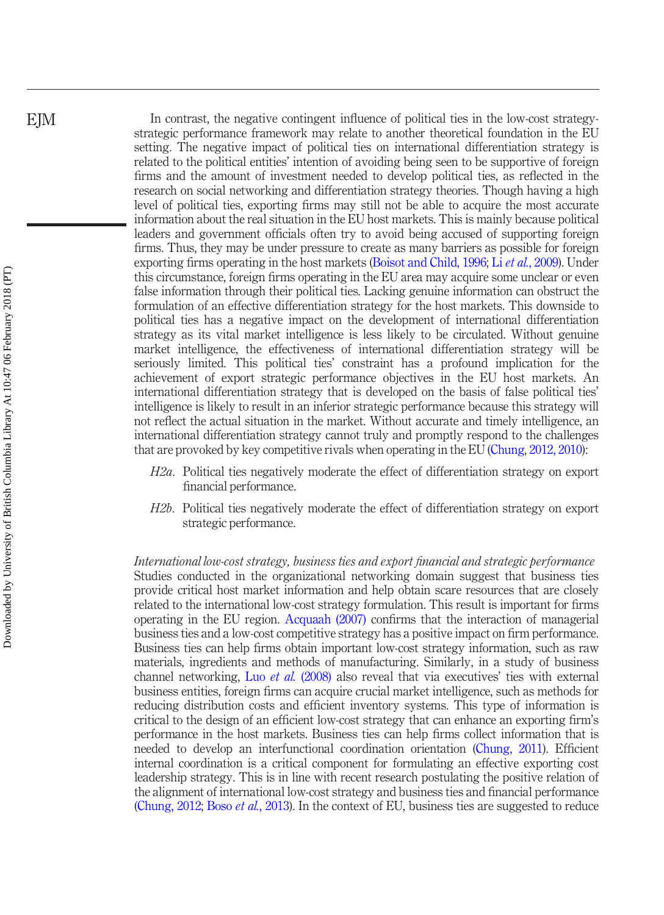In contrast, the negative contingent influence of political ties in the low-cost strategystrategic performance framework may relate to another theoretical foundation in the EU setting. The negative impact of political ties on international differentiation strategy is related to the political entities' intention of avoiding being seen to be supportive of foreign firms and the amount of investment needed to develop political ties, as reflected in the research on social networking and differentiation strategy theories. Though having a high level of political ties, exporting firms may still not be able to acquire the most accurate information about the real situation in the EU host markets. This is mainly because political leaders and government officials often try to avoid being accused of supporting foreign firms. Thus, they may be under pressure to create as many barriers as possible for foreign exporting firms operating in the host markets [\(Boisot and Child, 1996](#page-17-10); Li et al.[, 2009\)](#page-18-6). Under this circumstance, foreign firms operating in the EU area may acquire some unclear or even false information through their political ties. Lacking genuine information can obstruct the formulation of an effective differentiation strategy for the host markets. This downside to political ties has a negative impact on the development of international differentiation strategy as its vital market intelligence is less likely to be circulated. Without genuine market intelligence, the effectiveness of international differentiation strategy will be seriously limited. This political ties' constraint has a profound implication for the achievement of export strategic performance objectives in the EU host markets. An international differentiation strategy that is developed on the basis of false political ties' intelligence is likely to result in an inferior strategic performance because this strategy will not reflect the actual situation in the market. Without accurate and timely intelligence, an international differentiation strategy cannot truly and promptly respond to the challenges that are provoked by key competitive rivals when operating in the EU ([Chung,](#page-17-2) [2012, 2010\)](#page-17-9):

- H2a. Political ties negatively moderate the effect of differentiation strategy on export financial performance.
- H2b. Political ties negatively moderate the effect of differentiation strategy on export strategic performance.

International low-cost strategy, business ties and export financial and strategic performance Studies conducted in the organizational networking domain suggest that business ties provide critical host market information and help obtain scare resources that are closely related to the international low-cost strategy formulation. This result is important for firms operating in the EU region. [Acquaah \(2007\)](#page-16-0) confirms that the interaction of managerial business ties and a low-cost competitive strategy has a positive impact on firm performance. Business ties can help firms obtain important low-cost strategy information, such as raw materials, ingredients and methods of manufacturing. Similarly, in a study of business channel networking, Luo et al. [\(2008\)](#page-18-12) also reveal that via executives' ties with external business entities, foreign firms can acquire crucial market intelligence, such as methods for reducing distribution costs and efficient inventory systems. This type of information is critical to the design of an efficient low-cost strategy that can enhance an exporting firm's performance in the host markets. Business ties can help firms collect information that is needed to develop an interfunctional coordination orientation ([Chung, 2011](#page-17-6)). Efficient internal coordination is a critical component for formulating an effective exporting cost leadership strategy. This is in line with recent research postulating the positive relation of the alignment of international low-cost strategy and business ties and financial performance [\(Chung, 2012](#page-17-2); Boso et al.[, 2013\)](#page-17-7). In the context of EU, business ties are suggested to reduce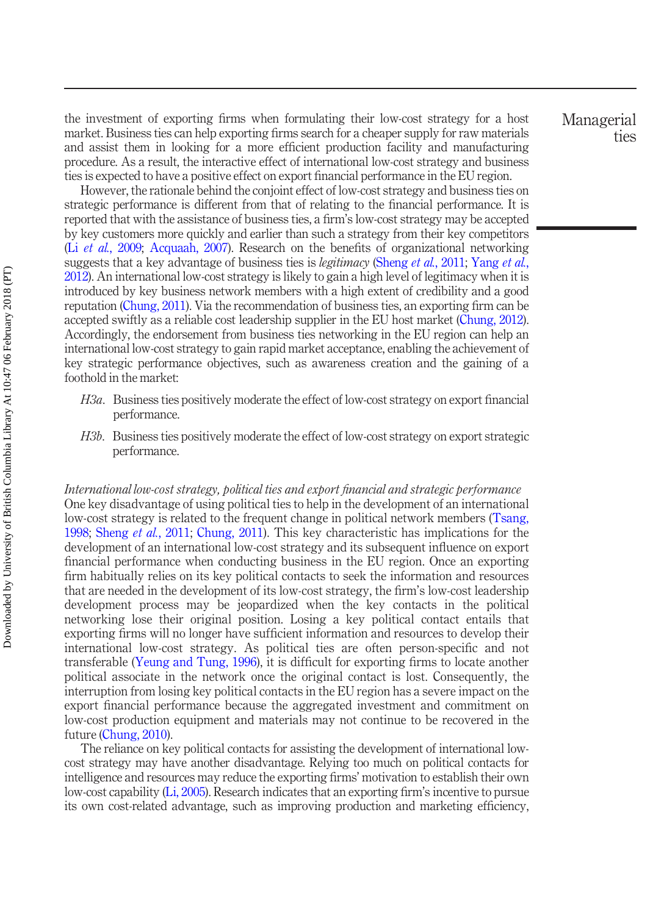the investment of exporting firms when formulating their low-cost strategy for a host market. Business ties can help exporting firms search for a cheaper supply for raw materials and assist them in looking for a more efficient production facility and manufacturing procedure. As a result, the interactive effect of international low-cost strategy and business ties is expected to have a positive effect on export financial performance in the EU region.

However, the rationale behind the conjoint effect of low-cost strategy and business ties on strategic performance is different from that of relating to the financial performance. It is reported that with the assistance of business ties, a firm's low-cost strategy may be accepted by key customers more quickly and earlier than such a strategy from their key competitors (Li et al.[, 2009](#page-18-6); [Acquaah, 2007](#page-16-0)). Research on the benefits of organizational networking suggests that a key advantage of business ties is *legitimacy* ([Sheng](#page-19-6) et al., 2011; [Yang](#page-19-3) et al., [2012\)](#page-19-3). An international low-cost strategy is likely to gain a high level of legitimacy when it is introduced by key business network members with a high extent of credibility and a good reputation ([Chung, 2011](#page-17-6)). Via the recommendation of business ties, an exporting firm can be accepted swiftly as a reliable cost leadership supplier in the EU host market ([Chung, 2012\)](#page-17-2). Accordingly, the endorsement from business ties networking in the EU region can help an international low-cost strategy to gain rapid market acceptance, enabling the achievement of key strategic performance objectives, such as awareness creation and the gaining of a foothold in the market:

- H3a. Business ties positively moderate the effect of low-cost strategy on export financial performance.
- H3b. Business ties positively moderate the effect of low-cost strategy on export strategic performance.

International low-cost strategy, political ties and export financial and strategic performance One key disadvantage of using political ties to help in the development of an international low-cost strategy is related to the frequent change in political network members ([Tsang,](#page-19-7) [1998](#page-19-7); [Sheng](#page-19-6) et al., 2011; [Chung, 2011\)](#page-17-6). This key characteristic has implications for the development of an international low-cost strategy and its subsequent influence on export financial performance when conducting business in the EU region. Once an exporting firm habitually relies on its key political contacts to seek the information and resources that are needed in the development of its low-cost strategy, the firm's low-cost leadership development process may be jeopardized when the key contacts in the political networking lose their original position. Losing a key political contact entails that exporting firms will no longer have sufficient information and resources to develop their international low-cost strategy. As political ties are often person-specific and not transferable [\(Yeung and Tung, 1996\)](#page-19-10), it is difficult for exporting firms to locate another political associate in the network once the original contact is lost. Consequently, the interruption from losing key political contacts in the EU region has a severe impact on the export financial performance because the aggregated investment and commitment on low-cost production equipment and materials may not continue to be recovered in the future [\(Chung, 2010](#page-17-9)).

The reliance on key political contacts for assisting the development of international lowcost strategy may have another disadvantage. Relying too much on political contacts for intelligence and resources may reduce the exporting firms' motivation to establish their own low-cost capability [\(Li, 2005](#page-18-13)). Research indicates that an exporting firm's incentive to pursue its own cost-related advantage, such as improving production and marketing efficiency,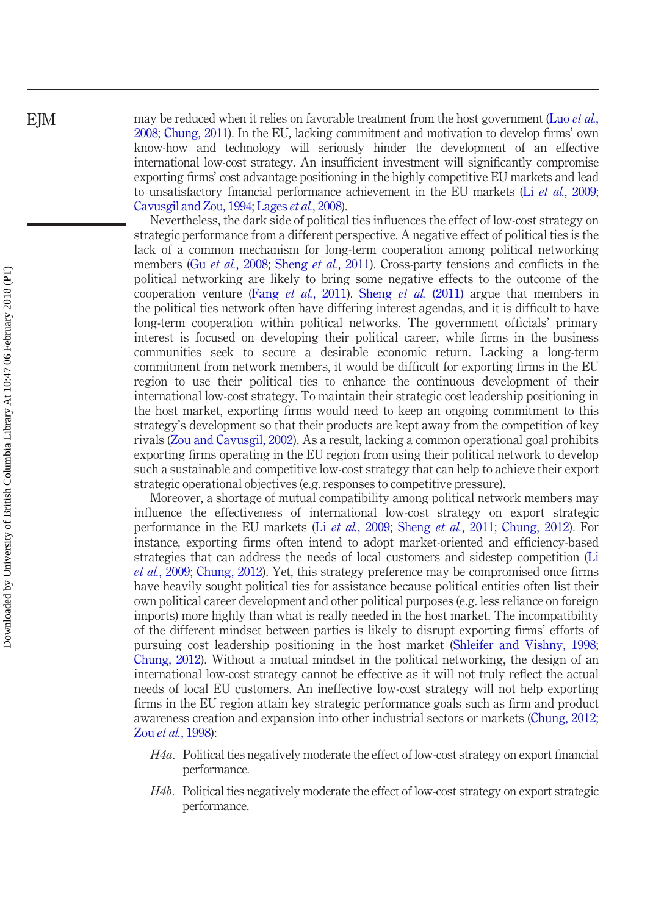may be reduced when it relies on favorable treatment from the host government (Luo *[et al.](#page-18-12)*, [2008](#page-18-12); [Chung, 2011\)](#page-17-6). In the EU, lacking commitment and motivation to develop firms' own know-how and technology will seriously hinder the development of an effective international low-cost strategy. An insufficient investment will significantly compromise exporting firms' cost advantage positioning in the highly competitive EU markets and lead to unsatisfactory financial performance achievement in the EU markets (Li *et al.*[, 2009](#page-18-6); [Cavusgil and Zou, 1994](#page-17-4); [Lages](#page-18-14) et al., 2008).

Nevertheless, the dark side of political ties influences the effect of low-cost strategy on strategic performance from a different perspective. A negative effect of political ties is the lack of a common mechanism for long-term cooperation among political networking members (Gu *et al.*[, 2008](#page-17-5); [Sheng](#page-19-6) *et al.*, 2011). Cross-party tensions and conflicts in the political networking are likely to bring some negative effects to the outcome of the cooperation venture (Fang et al.[, 2011\)](#page-17-11). [Sheng](#page-19-6) et al. (2011) argue that members in the political ties network often have differing interest agendas, and it is difficult to have long-term cooperation within political networks. The government officials' primary interest is focused on developing their political career, while firms in the business communities seek to secure a desirable economic return. Lacking a long-term commitment from network members, it would be difficult for exporting firms in the EU region to use their political ties to enhance the continuous development of their international low-cost strategy. To maintain their strategic cost leadership positioning in the host market, exporting firms would need to keep an ongoing commitment to this strategy's development so that their products are kept away from the competition of key rivals ([Zou and Cavusgil, 2002\)](#page-19-5). As a result, lacking a common operational goal prohibits exporting firms operating in the EU region from using their political network to develop such a sustainable and competitive low-cost strategy that can help to achieve their export strategic operational objectives (e.g. responses to competitive pressure).

Moreover, a shortage of mutual compatibility among political network members may influence the effectiveness of international low-cost strategy on export strategic performance in the EU markets (Li et al.[, 2009;](#page-18-6) [Sheng](#page-19-6) et al., 2011; [Chung, 2012](#page-17-2)). For instance, exporting firms often intend to adopt market-oriented and efficiency-based strategies that can address the needs of local customers and sidestep competition ([Li](#page-18-6) et al.[, 2009](#page-18-6); [Chung, 2012\)](#page-17-2). Yet, this strategy preference may be compromised once firms have heavily sought political ties for assistance because political entities often list their own political career development and other political purposes (e.g. less reliance on foreign imports) more highly than what is really needed in the host market. The incompatibility of the different mindset between parties is likely to disrupt exporting firms' efforts of pursuing cost leadership positioning in the host market ([Shleifer and Vishny, 1998;](#page-19-11) [Chung, 2012](#page-17-2)). Without a mutual mindset in the political networking, the design of an international low-cost strategy cannot be effective as it will not truly reflect the actual needs of local EU customers. An ineffective low-cost strategy will not help exporting firms in the EU region attain key strategic performance goals such as firm and product awareness creation and expansion into other industrial sectors or markets ([Chung, 2012;](#page-17-2) Zou et al.[, 1998\)](#page-19-4):

- H4a. Political ties negatively moderate the effect of low-cost strategy on export financial performance.
- H4b. Political ties negatively moderate the effect of low-cost strategy on export strategic performance.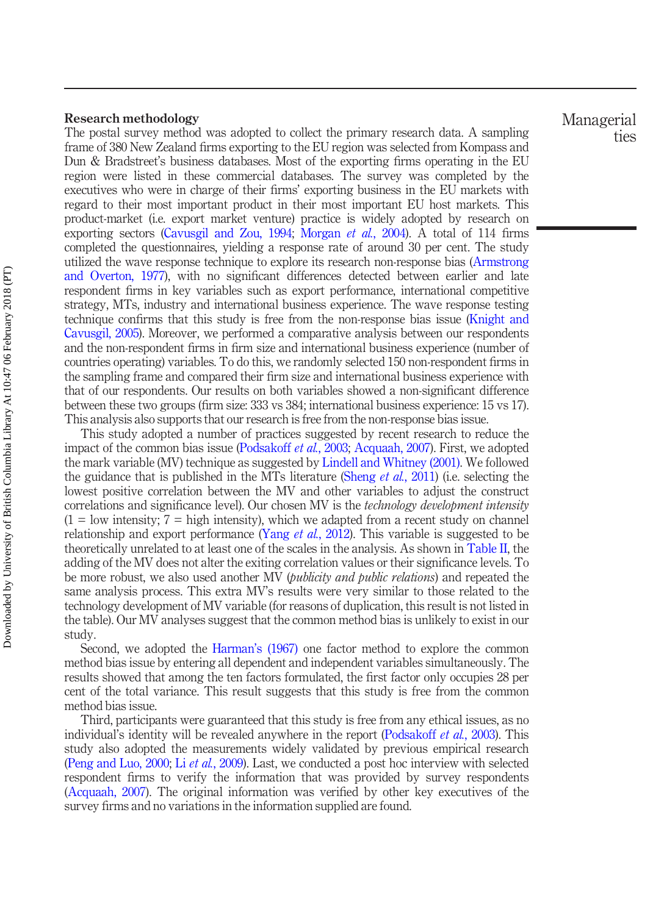#### Research methodology

The postal survey method was adopted to collect the primary research data. A sampling frame of 380 New Zealand firms exporting to the EU region was selected from Kompass and Dun & Bradstreet's business databases. Most of the exporting firms operating in the EU region were listed in these commercial databases. The survey was completed by the executives who were in charge of their firms' exporting business in the EU markets with regard to their most important product in their most important EU host markets. This product-market (i.e. export market venture) practice is widely adopted by research on exporting sectors [\(Cavusgil and Zou, 1994;](#page-17-4) [Morgan](#page-18-8) *et al.*, 2004). A total of 114 firms completed the questionnaires, yielding a response rate of around 30 per cent. The study utilized the wave response technique to explore its research non-response bias [\(Armstrong](#page-17-12) [and Overton, 1977](#page-17-12)), with no significant differences detected between earlier and late respondent firms in key variables such as export performance, international competitive strategy, MTs, industry and international business experience. The wave response testing technique confirms that this study is free from the non-response bias issue [\(Knight and](#page-18-0) [Cavusgil, 2005](#page-18-0)). Moreover, we performed a comparative analysis between our respondents and the non-respondent firms in firm size and international business experience (number of countries operating) variables. To do this, we randomly selected 150 non-respondent firms in the sampling frame and compared their firm size and international business experience with that of our respondents. Our results on both variables showed a non-significant difference between these two groups (firm size: 333 vs 384; international business experience: 15 vs 17). This analysis also supports that our research is free from the non-response bias issue.

This study adopted a number of practices suggested by recent research to reduce the impact of the common bias issue [\(Podsakoff](#page-19-12) et al., 2003; [Acquaah, 2007\)](#page-16-0). First, we adopted the mark variable (MV) technique as suggested by [Lindell and Whitney \(2001\).](#page-18-15) We followed the guidance that is published in the MTs literature ([Sheng](#page-19-6) *et al.*, 2011) (i.e. selecting the lowest positive correlation between the MV and other variables to adjust the construct correlations and significance level). Our chosen MV is the *technology development intensity*  $(1 = low intensity; 7 = high intensity)$ , which we adapted from a recent study on channel relationship and export performance (Yang *et al.*[, 2012\)](#page-19-3). This variable is suggested to be theoretically unrelated to at least one of the scales in the analysis. As shown in [Table II](#page-12-0), the adding of the MV does not alter the exiting correlation values or their significance levels. To be more robust, we also used another MV (*publicity and public relations*) and repeated the same analysis process. This extra MV's results were very similar to those related to the technology development of MV variable (for reasons of duplication, this result is not listed in the table). Our MV analyses suggest that the common method bias is unlikely to exist in our study.

Second, we adopted the [Harman](#page-17-13)'s (1967) one factor method to explore the common method bias issue by entering all dependent and independent variables simultaneously. The results showed that among the ten factors formulated, the first factor only occupies 28 per cent of the total variance. This result suggests that this study is free from the common method bias issue.

Third, participants were guaranteed that this study is free from any ethical issues, as no individual's identity will be revealed anywhere in the report ([Podsakoff](#page-19-12) *et al.*, 2003). This study also adopted the measurements widely validated by previous empirical research [\(Peng and Luo, 2000;](#page-18-7) Li et al.[, 2009\)](#page-18-6). Last, we conducted a post hoc interview with selected respondent firms to verify the information that was provided by survey respondents [\(Acquaah, 2007](#page-16-0)). The original information was verified by other key executives of the survey firms and no variations in the information supplied are found.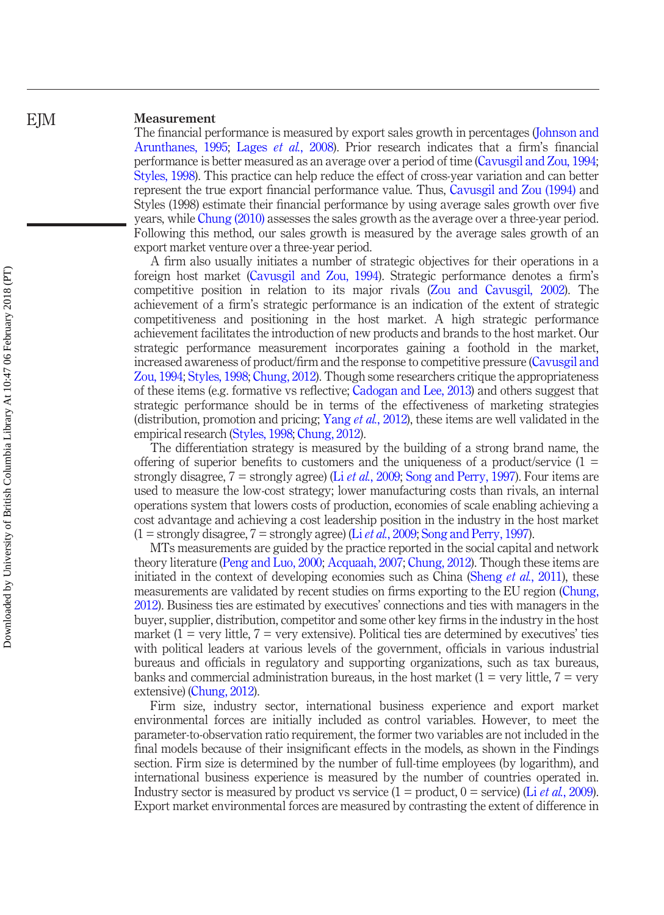#### Measurement EJM

The financial performance is measured by export sales growth in percentages [\(Johnson and](#page-18-16) [Arunthanes, 1995](#page-18-16); Lages et al.[, 2008\)](#page-18-14). Prior research indicates that a firm's financial performance is better measured as an average over a period of time [\(Cavusgil and Zou, 1994;](#page-17-4) [Styles, 1998\)](#page-19-13). This practice can help reduce the effect of cross-year variation and can better represent the true export financial performance value. Thus, [Cavusgil and Zou \(1994\)](#page-17-4) and Styles (1998) estimate their financial performance by using average sales growth over five years, while [Chung \(2010\)](#page-17-9) assesses the sales growth as the average over a three-year period. Following this method, our sales growth is measured by the average sales growth of an export market venture over a three-year period.

A firm also usually initiates a number of strategic objectives for their operations in a foreign host market ([Cavusgil and Zou, 1994](#page-17-4)). Strategic performance denotes a firm's competitive position in relation to its major rivals [\(Zou and Cavusgil, 2002](#page-19-5)). The achievement of a firm's strategic performance is an indication of the extent of strategic competitiveness and positioning in the host market. A high strategic performance achievement facilitates the introduction of new products and brands to the host market. Our strategic performance measurement incorporates gaining a foothold in the market, increased awareness of product/firm and the response to competitive pressure ([Cavusgil and](#page-17-4) [Zou, 1994](#page-17-4); [Styles, 1998](#page-19-13); [Chung, 2012\)](#page-17-2). Though some researchers critique the appropriateness of these items (e.g. formative vs reflective; [Cadogan and Lee, 2013](#page-17-14)) and others suggest that strategic performance should be in terms of the effectiveness of marketing strategies (distribution, promotion and pricing; Yang et al.[, 2012](#page-19-3)), these items are well validated in the empirical research ([Styles, 1998](#page-19-13); [Chung, 2012\)](#page-17-2).

The differentiation strategy is measured by the building of a strong brand name, the offering of superior benefits to customers and the uniqueness of a product/service  $(1 =$ strongly disagree,  $7 =$  strongly agree) (Li *et al.*[, 2009](#page-18-6); [Song and Perry, 1997\)](#page-19-14). Four items are used to measure the low-cost strategy; lower manufacturing costs than rivals, an internal operations system that lowers costs of production, economies of scale enabling achieving a cost advantage and achieving a cost leadership position in the industry in the host market  $(1 =$  strongly disagree,  $7 =$  strongly agree) (Li *et al.*[, 2009;](#page-18-6) [Song and Perry, 1997\)](#page-19-14).

MTs measurements are guided by the practice reported in the social capital and network theory literature [\(Peng and Luo, 2000](#page-18-7); [Acquaah, 2007](#page-16-0); [Chung, 2012\)](#page-17-2). Though these items are initiated in the context of developing economies such as China ([Sheng](#page-19-6) *et al.*, 2011), these measurements are validated by recent studies on firms exporting to the EU region [\(Chung,](#page-17-2) [2012](#page-17-2)). Business ties are estimated by executives' connections and ties with managers in the buyer, supplier, distribution, competitor and some other key firms in the industry in the host market  $(1 = \text{very little}, 7 = \text{very extensive})$ . Political ties are determined by executives' ties with political leaders at various levels of the government, officials in various industrial bureaus and officials in regulatory and supporting organizations, such as tax bureaus, banks and commercial administration bureaus, in the host market  $(1 = \text{very little}, 7 = \text{very}$ extensive) [\(Chung, 2012\)](#page-17-2).

Firm size, industry sector, international business experience and export market environmental forces are initially included as control variables. However, to meet the parameter-to-observation ratio requirement, the former two variables are not included in the final models because of their insignificant effects in the models, as shown in the Findings section. Firm size is determined by the number of full-time employees (by logarithm), and international business experience is measured by the number of countries operated in. Industry sector is measured by product vs service  $(1 = \text{product}, 0 = \text{service})$  (Li *et al.*[, 2009\)](#page-18-6). Export market environmental forces are measured by contrasting the extent of difference in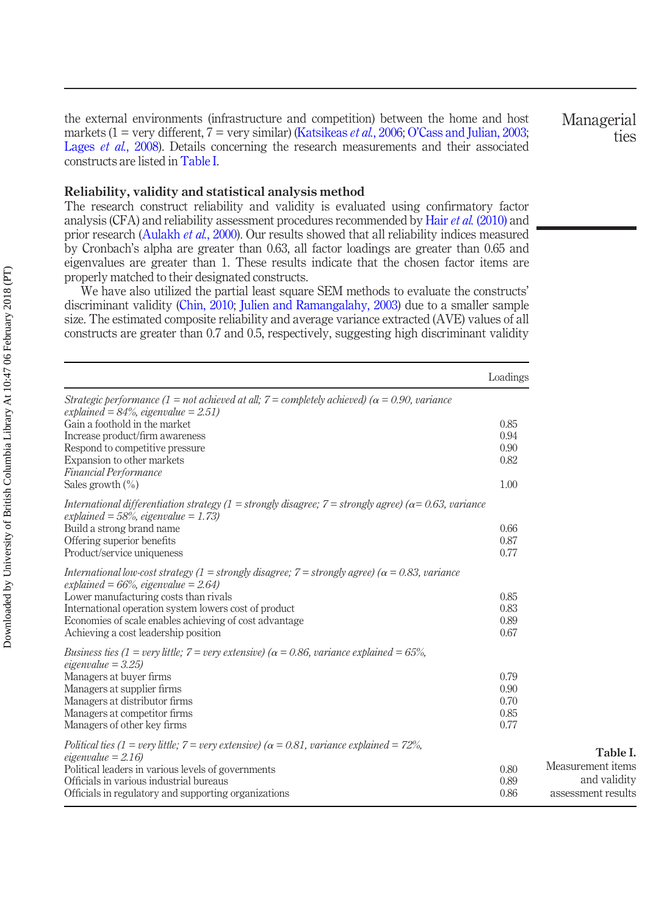the external environments (infrastructure and competition) between the home and host markets (1 = very different, 7 = very similar) [\(Katsikeas](#page-18-17) *et al.*, 2006; O'[Cass and Julian, 2003](#page-18-18); Lages et al.[, 2008\)](#page-18-14). Details concerning the research measurements and their associated constructs are listed in [Table I](#page-11-0).

Managerial ties

#### Reliability, validity and statistical analysis method

The research construct reliability and validity is evaluated using confirmatory factor analysis (CFA) and reliability assessment procedures recommended by Hair et al. [\(2010\)](#page-17-15) and prior research ([Aulakh](#page-17-0) et al., 2000). Our results showed that all reliability indices measured by Cronbach's alpha are greater than 0.63, all factor loadings are greater than 0.65 and eigenvalues are greater than 1. These results indicate that the chosen factor items are properly matched to their designated constructs.

We have also utilized the partial least square SEM methods to evaluate the constructs' discriminant validity [\(Chin, 2010;](#page-17-16) [Julien and Ramangalahy, 2003\)](#page-18-3) due to a smaller sample size. The estimated composite reliability and average variance extracted (AVE) values of all constructs are greater than 0.7 and 0.5, respectively, suggesting high discriminant validity

<span id="page-11-0"></span>

|                                                                                                                                                                                                                                                                                                                                                        | Loadings                     |                    |
|--------------------------------------------------------------------------------------------------------------------------------------------------------------------------------------------------------------------------------------------------------------------------------------------------------------------------------------------------------|------------------------------|--------------------|
| Strategic performance (1 = not achieved at all; 7 = completely achieved) ( $\alpha$ = 0.90, variance<br>explained = $84\%$ , eigenvalue = 2.51)                                                                                                                                                                                                        |                              |                    |
| Gain a foothold in the market                                                                                                                                                                                                                                                                                                                          | 0.85                         |                    |
| Increase product/firm awareness                                                                                                                                                                                                                                                                                                                        | 0.94                         |                    |
| Respond to competitive pressure                                                                                                                                                                                                                                                                                                                        | 0.90                         |                    |
| Expansion to other markets<br>Financial Performance                                                                                                                                                                                                                                                                                                    | 0.82                         |                    |
| Sales growth $(\% )$                                                                                                                                                                                                                                                                                                                                   | 1.00                         |                    |
| International differentiation strategy (1 = strongly disagree; 7 = strongly agree) ( $\alpha$ = 0.63, variance<br>explained = $58\%$ , eigenvalue = 1.73)                                                                                                                                                                                              |                              |                    |
| Build a strong brand name                                                                                                                                                                                                                                                                                                                              | 0.66                         |                    |
| Offering superior benefits                                                                                                                                                                                                                                                                                                                             | 0.87                         |                    |
| Product/service uniqueness                                                                                                                                                                                                                                                                                                                             | 0.77                         |                    |
| International low-cost strategy (1 = strongly disagree; 7 = strongly agree) ( $\alpha$ = 0.83, variance<br>explained = $66\%$ , eigenvalue = 2.64)<br>Lower manufacturing costs than rivals<br>International operation system lowers cost of product<br>Economies of scale enables achieving of cost advantage<br>Achieving a cost leadership position | 0.85<br>0.83<br>0.89<br>0.67 |                    |
| Business ties (1 = very little; 7 = very extensive) ( $\alpha$ = 0.86, variance explained = 65%,<br>$eigenvalue = 3.25$                                                                                                                                                                                                                                |                              |                    |
| Managers at buyer firms                                                                                                                                                                                                                                                                                                                                | 0.79                         |                    |
| Managers at supplier firms                                                                                                                                                                                                                                                                                                                             | 0.90                         |                    |
| Managers at distributor firms                                                                                                                                                                                                                                                                                                                          | 0.70                         |                    |
| Managers at competitor firms                                                                                                                                                                                                                                                                                                                           | 0.85                         |                    |
| Managers of other key firms                                                                                                                                                                                                                                                                                                                            | 0.77                         |                    |
| Political ties (1 = very little; 7 = very extensive) ( $\alpha$ = 0.81, variance explained = 72%,<br>eigenvalue = $2.16$ )                                                                                                                                                                                                                             |                              | Table I.           |
| Political leaders in various levels of governments                                                                                                                                                                                                                                                                                                     | 0.80                         | Measurement items  |
| Officials in various industrial bureaus                                                                                                                                                                                                                                                                                                                | 0.89                         | and validity       |
| Officials in regulatory and supporting organizations                                                                                                                                                                                                                                                                                                   | 0.86                         | assessment results |
|                                                                                                                                                                                                                                                                                                                                                        |                              |                    |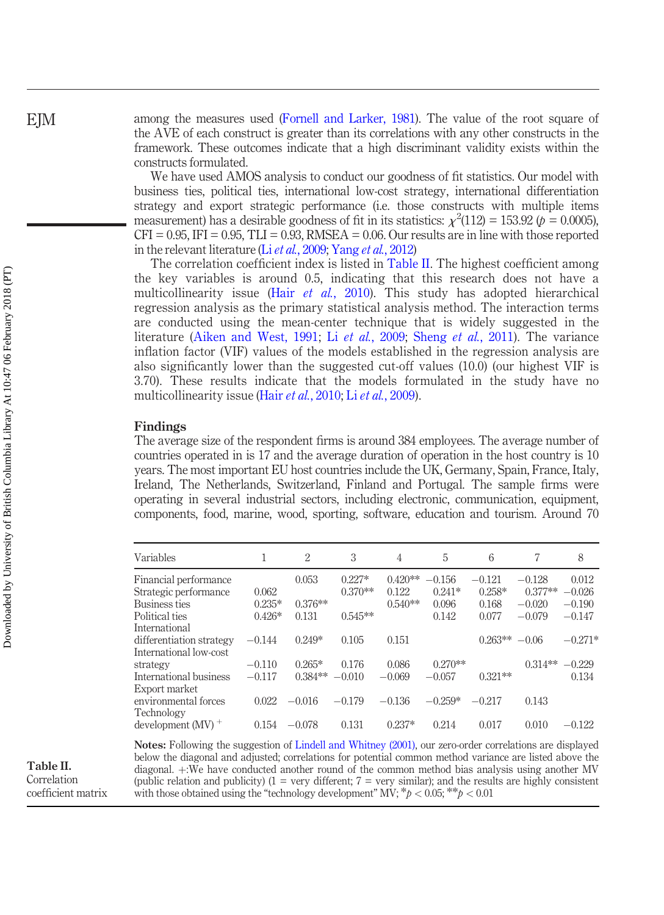among the measures used [\(Fornell and Larker, 1981\)](#page-17-17). The value of the root square of the AVE of each construct is greater than its correlations with any other constructs in the framework. These outcomes indicate that a high discriminant validity exists within the constructs formulated.

We have used AMOS analysis to conduct our goodness of fit statistics. Our model with business ties, political ties, international low-cost strategy, international differentiation strategy and export strategic performance (i.e. those constructs with multiple items measurement) has a desirable goodness of fit in its statistics:  $\chi^2(112) = 153.92$  ( $p = 0.0005$ ),  $CFI = 0.95$ ,  $IFI = 0.95$ ,  $TLI = 0.93$ , RMSEA = 0.06. Our results are in line with those reported in the relevant literature (Li *et al.*[, 2009](#page-18-6); Yang *et al.*[, 2012](#page-19-3))

The correlation coefficient index is listed in [Table II.](#page-12-0) The highest coefficient among the key variables is around 0.5, indicating that this research does not have a multicollinearity issue (Hair *et al.*[, 2010\)](#page-17-15). This study has adopted hierarchical regression analysis as the primary statistical analysis method. The interaction terms are conducted using the mean-center technique that is widely suggested in the literature ([Aiken and West, 1991;](#page-16-1) Li et al.[, 2009](#page-18-6); Sheng et al.[, 2011\)](#page-19-6). The variance inflation factor (VIF) values of the models established in the regression analysis are also significantly lower than the suggested cut-off values (10.0) (our highest VIF is 3.70). These results indicate that the models formulated in the study have no multicollinearity issue (Hair *et al.*[, 2010](#page-17-15); Li *et al.*[, 2009](#page-18-6)).

#### Findings

The average size of the respondent firms is around 384 employees. The average number of countries operated in is 17 and the average duration of operation in the host country is 10 years. The most important EU host countries include the UK, Germany, Spain, France, Italy, Ireland, The Netherlands, Switzerland, Finland and Portugal. The sample firms were operating in several industrial sectors, including electronic, communication, equipment, components, food, marine, wood, sporting, software, education and tourism. Around 70

| Variables                       |          | $\overline{2}$ | 3         | 4         | 5         | 6         | 7         | 8         |
|---------------------------------|----------|----------------|-----------|-----------|-----------|-----------|-----------|-----------|
| Financial performance           |          | 0.053          | $0.227*$  | $0.420**$ | $-0.156$  | $-0.121$  | $-0.128$  | 0.012     |
| Strategic performance           | 0.062    |                | $0.370**$ | 0.122     | $0.241*$  | $0.258*$  | $0.377**$ | $-0.026$  |
| Business ties                   | $0.235*$ | $0.376**$      |           | $0.540**$ | 0.096     | 0.168     | $-0.020$  | $-0.190$  |
| Political ties                  | $0.426*$ | 0.131          | $0.545**$ |           | 0.142     | 0.077     | $-0.079$  | $-0.147$  |
| International                   |          |                |           |           |           |           |           |           |
| differentiation strategy        | $-0.144$ | $0.249*$       | 0.105     | 0.151     |           | $0.263**$ | $-0.06$   | $-0.271*$ |
| International low-cost          |          |                |           |           |           |           |           |           |
| strategy                        | $-0.110$ | $0.265*$       | 0.176     | 0.086     | $0.270**$ |           | $0.314**$ | $-0.229$  |
| International business          | $-0.117$ | $0.384**$      | $-0.010$  | $-0.069$  | $-0.057$  | $0.321**$ |           | 0.134     |
| Export market                   |          |                |           |           |           |           |           |           |
| environmental forces            | 0.022    | $-0.016$       | $-0.179$  | $-0.136$  | $-0.259*$ | $-0.217$  | 0.143     |           |
| Technology                      |          |                |           |           |           |           |           |           |
| development $(MV)$ <sup>+</sup> | 0.154    | $-0.078$       | 0.131     | $0.237*$  | 0.214     | 0.017     | 0.010     | $-0.122$  |
|                                 |          |                |           |           |           |           |           |           |

<span id="page-12-0"></span>Notes: Following the suggestion of [Lindell and Whitney \(2001\),](#page-18-15) our zero-order correlations are displayed below the diagonal and adjusted; correlations for potential common method variance are listed above the diagonal. +:We have conducted another round of the common method bias analysis using another MV (public relation and publicity)  $(1 = \text{very different}; 7 = \text{very similar});$  and the results are highly consistent with those obtained using the "technology development" MV;  $^*p < 0.05$ ;  $^{**}p < 0.01$ 

Table II. Correlation coefficient matrix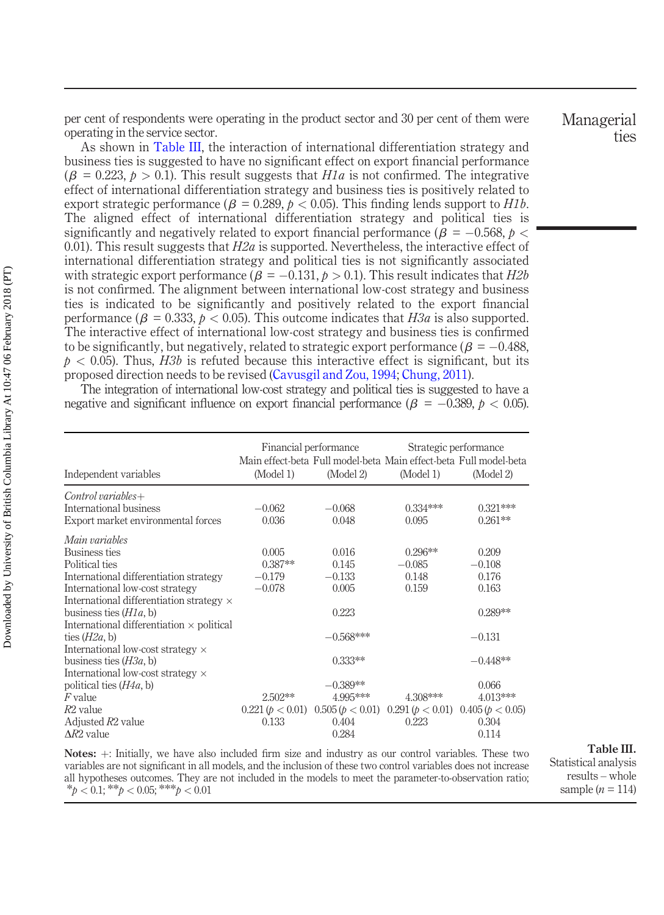per cent of respondents were operating in the product sector and 30 per cent of them were operating in the service sector.

As shown in [Table III,](#page-13-0) the interaction of international differentiation strategy and business ties is suggested to have no significant effect on export financial performance  $(\beta = 0.223, \ p > 0.1)$ . This result suggests that H1a is not confirmed. The integrative effect of international differentiation strategy and business ties is positively related to export strategic performance ( $\beta = 0.289$ ,  $p < 0.05$ ). This finding lends support to H1b. The aligned effect of international differentiation strategy and political ties is significantly and negatively related to export financial performance ( $\beta = -0.568$ ,  $\beta$  < 0.01). This result suggests that  $H2a$  is supported. Nevertheless, the interactive effect of international differentiation strategy and political ties is not significantly associated with strategic export performance ( $\beta = -0.131$ ,  $\rho > 0.1$ ). This result indicates that H2b is not confirmed. The alignment between international low-cost strategy and business ties is indicated to be significantly and positively related to the export financial performance ( $\beta = 0.333$ ,  $p < 0.05$ ). This outcome indicates that H3a is also supported. The interactive effect of international low-cost strategy and business ties is confirmed to be significantly, but negatively, related to strategic export performance ( $\beta = -0.488$ ,  $p < 0.05$ ). Thus, H3b is refuted because this interactive effect is significant, but its proposed direction needs to be revised ([Cavusgil and Zou, 1994;](#page-17-4) [Chung, 2011\)](#page-17-6).

The integration of international low-cost strategy and political ties is suggested to have a negative and significant influence on export financial performance ( $\beta = -0.389$ ,  $p < 0.05$ ).

|                                                  | Financial performance<br>Main effect-beta Full model-beta Main effect-beta Full model-beta |             | Strategic performance                                                       |            |
|--------------------------------------------------|--------------------------------------------------------------------------------------------|-------------|-----------------------------------------------------------------------------|------------|
| Independent variables                            | (Model 1)                                                                                  | (Model 2)   | (Model 1)                                                                   | (Model 2)  |
| $Control\ variables+$                            |                                                                                            |             |                                                                             |            |
| International business                           | $-0.062$                                                                                   | $-0.068$    | $0.334***$                                                                  | $0.321***$ |
| Export market environmental forces               | 0.036                                                                                      | 0.048       | 0.095                                                                       | $0.261**$  |
| Main variables                                   |                                                                                            |             |                                                                             |            |
| Business ties                                    | 0.005                                                                                      | 0.016       | $0.296**$                                                                   | 0.209      |
| Political ties                                   | $0.387**$                                                                                  | 0.145       | $-0.085$                                                                    | $-0.108$   |
| International differentiation strategy           | $-0.179$                                                                                   | $-0.133$    | 0.148                                                                       | 0.176      |
| International low-cost strategy                  | $-0.078$                                                                                   | 0.005       | 0.159                                                                       | 0.163      |
| International differentiation strategy $\times$  |                                                                                            |             |                                                                             |            |
| business ties $(H1a, b)$                         |                                                                                            | 0.223       |                                                                             | $0.289**$  |
| International differentiation $\times$ political |                                                                                            |             |                                                                             |            |
| ties $(H2a, b)$                                  |                                                                                            | $-0.568***$ |                                                                             | $-0.131$   |
| International low-cost strategy $\times$         |                                                                                            |             |                                                                             |            |
| business ties $(H3a, b)$                         |                                                                                            | $0.333**$   |                                                                             | $-0.448**$ |
| International low-cost strategy $\times$         |                                                                                            |             |                                                                             |            |
| political ties $(H4a, b)$                        |                                                                                            | $-0.389**$  |                                                                             | 0.066      |
| $F$ value                                        | $2.502**$                                                                                  | 4.995***    | 4.308***                                                                    | $4.013***$ |
| $R2$ value                                       |                                                                                            |             | $0.221 (p < 0.01)$ $0.505 (p < 0.01)$ $0.291 (p < 0.01)$ $0.405 (p < 0.05)$ |            |
| Adjusted R2 value                                | 0.133                                                                                      | 0.404       | 0.223                                                                       | 0.304      |
| $\Delta R2$ value                                |                                                                                            | 0.284       |                                                                             | 0.114      |

Notes:  $+$ : Initially, we have also included firm size and industry as our control variables. These two variables are not significant in all models, and the inclusion of these two control variables does not increase all hypotheses outcomes. They are not included in the models to meet the parameter-to-observation ratio;  $*_{p}$  < 0.1;  $*_{p}$  < 0.05;  $*_{p}$  < 0.01

<span id="page-13-0"></span>Table III. Statistical analysis results – whole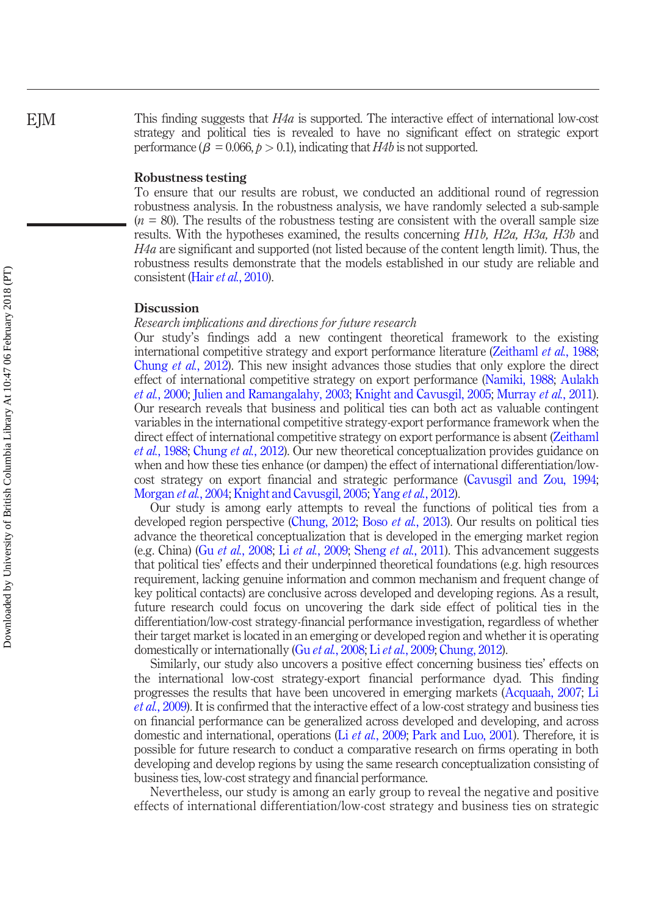#### EJM

This finding suggests that H4a is supported. The interactive effect of international low-cost strategy and political ties is revealed to have no significant effect on strategic export performance ( $\beta = 0.066$ ,  $p > 0.1$ ), indicating that H4b is not supported.

#### Robustness testing

To ensure that our results are robust, we conducted an additional round of regression robustness analysis. In the robustness analysis, we have randomly selected a sub-sample  $(n = 80)$ . The results of the robustness testing are consistent with the overall sample size results. With the hypotheses examined, the results concerning  $H1b$ ,  $H2a$ ,  $H3a$ ,  $H3b$  and H4a are significant and supported (not listed because of the content length limit). Thus, the robustness results demonstrate that the models established in our study are reliable and consistent (Hair et al.[, 2010](#page-17-15)).

#### **Discussion**

#### Research implications and directions for future research

Our study's findings add a new contingent theoretical framework to the existing international competitive strategy and export performance literature [\(Zeithaml](#page-19-2) et al., 1988; [Chung](#page-17-1) et al., 2012). This new insight advances those studies that only explore the direct effect of international competitive strategy on export performance ([Namiki, 1988](#page-18-4); [Aulakh](#page-17-0) et al.[, 2000](#page-17-0); [Julien and Ramangalahy, 2003;](#page-18-3) [Knight and Cavusgil, 2005](#page-18-0); [Murray](#page-18-5) et al., 2011). Our research reveals that business and political ties can both act as valuable contingent variables in the international competitive strategy-export performance framework when the direct effect of international competitive strategy on export performance is absent [\(Zeithaml](#page-19-2) et al.[, 1988](#page-19-2); [Chung](#page-17-1) et al., 2012). Our new theoretical conceptualization provides guidance on when and how these ties enhance (or dampen) the effect of international differentiation/lowcost strategy on export financial and strategic performance [\(Cavusgil and Zou, 1994;](#page-17-4) [Morgan](#page-18-8) et al., 2004; [Knight and Cavusgil, 2005;](#page-18-0) Yang et al.[, 2012\)](#page-19-3).

Our study is among early attempts to reveal the functions of political ties from a developed region perspective ([Chung, 2012](#page-17-2); Boso *et al.*[, 2013](#page-17-7)). Our results on political ties advance the theoretical conceptualization that is developed in the emerging market region (e.g. China) (Gu et al.[, 2008](#page-17-5); Li et al.[, 2009;](#page-18-6) [Sheng](#page-19-6) et al., 2011). This advancement suggests that political ties' effects and their underpinned theoretical foundations (e.g. high resources requirement, lacking genuine information and common mechanism and frequent change of key political contacts) are conclusive across developed and developing regions. As a result, future research could focus on uncovering the dark side effect of political ties in the differentiation/low-cost strategy-financial performance investigation, regardless of whether their target market is located in an emerging or developed region and whether it is operating domestically or internationally (Gu et al.[, 2008;](#page-17-5) Li et al.[, 2009;](#page-18-6) [Chung, 2012](#page-17-2)).

Similarly, our study also uncovers a positive effect concerning business ties' effects on the international low-cost strategy-export financial performance dyad. This finding progresses the results that have been uncovered in emerging markets [\(Acquaah, 2007](#page-16-0); [Li](#page-18-6) et al.[, 2009\)](#page-18-6). It is confirmed that the interactive effect of a low-cost strategy and business ties on financial performance can be generalized across developed and developing, and across domestic and international, operations (Li *et al.*[, 2009;](#page-18-6) [Park and Luo, 2001](#page-18-9)). Therefore, it is possible for future research to conduct a comparative research on firms operating in both developing and develop regions by using the same research conceptualization consisting of business ties, low-cost strategy and financial performance.

Nevertheless, our study is among an early group to reveal the negative and positive effects of international differentiation/low-cost strategy and business ties on strategic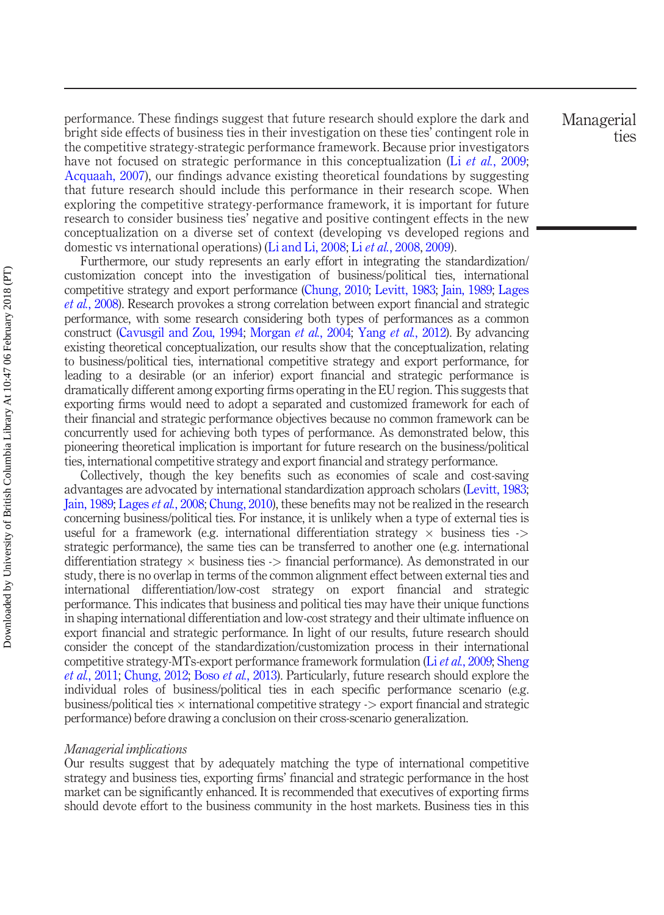performance. These findings suggest that future research should explore the dark and bright side effects of business ties in their investigation on these ties' contingent role in the competitive strategy-strategic performance framework. Because prior investigators have not focused on strategic performance in this conceptualization (Li *et al.*[, 2009](#page-18-6); [Acquaah, 2007\)](#page-16-0), our findings advance existing theoretical foundations by suggesting that future research should include this performance in their research scope. When exploring the competitive strategy-performance framework, it is important for future research to consider business ties' negative and positive contingent effects in the new conceptualization on a diverse set of context (developing vs developed regions and domestic vs international operations) [\(Li and Li, 2008](#page-18-1); Li et al.[, 2008](#page-18-19), [2009\)](#page-18-6).

Furthermore, our study represents an early effort in integrating the standardization/ customization concept into the investigation of business/political ties, international competitive strategy and export performance [\(Chung, 2010;](#page-17-9) [Levitt, 1983;](#page-18-20) [Jain, 1989;](#page-17-18) [Lages](#page-18-14) et al.[, 2008\)](#page-18-14). Research provokes a strong correlation between export financial and strategic performance, with some research considering both types of performances as a common construct ([Cavusgil and Zou, 1994;](#page-17-4) [Morgan](#page-18-8) et al., 2004; Yang et al.[, 2012](#page-19-3)). By advancing existing theoretical conceptualization, our results show that the conceptualization, relating to business/political ties, international competitive strategy and export performance, for leading to a desirable (or an inferior) export financial and strategic performance is dramatically different among exporting firms operating in the EU region. This suggests that exporting firms would need to adopt a separated and customized framework for each of their financial and strategic performance objectives because no common framework can be concurrently used for achieving both types of performance. As demonstrated below, this pioneering theoretical implication is important for future research on the business/political ties, international competitive strategy and export financial and strategy performance.

Collectively, though the key benefits such as economies of scale and cost-saving advantages are advocated by international standardization approach scholars ([Levitt, 1983](#page-18-20); [Jain, 1989](#page-17-18); [Lages](#page-18-14) et al., 2008; [Chung, 2010](#page-17-9)), these benefits may not be realized in the research concerning business/political ties. For instance, it is unlikely when a type of external ties is useful for a framework (e.g. international differentiation strategy  $\times$  business ties  $\rightarrow$ strategic performance), the same ties can be transferred to another one (e.g. international differentiation strategy  $\times$  business ties  $\cdot$  financial performance). As demonstrated in our study, there is no overlap in terms of the common alignment effect between external ties and international differentiation/low-cost strategy on export financial and strategic performance. This indicates that business and political ties may have their unique functions in shaping international differentiation and low-cost strategy and their ultimate influence on export financial and strategic performance. In light of our results, future research should consider the concept of the standardization/customization process in their international competitive strategy-MTs-export performance framework formulation (Li *et al.*[, 2009;](#page-18-6) [Sheng](#page-19-6) et al.[, 2011;](#page-19-6) [Chung, 2012;](#page-17-2) Boso et al.[, 2013\)](#page-17-7). Particularly, future research should explore the individual roles of business/political ties in each specific performance scenario (e.g. business/political ties  $\times$  international competitive strategy  $\cdot$  > export financial and strategic performance) before drawing a conclusion on their cross-scenario generalization.

#### Managerial implications

Our results suggest that by adequately matching the type of international competitive strategy and business ties, exporting firms' financial and strategic performance in the host market can be significantly enhanced. It is recommended that executives of exporting firms should devote effort to the business community in the host markets. Business ties in this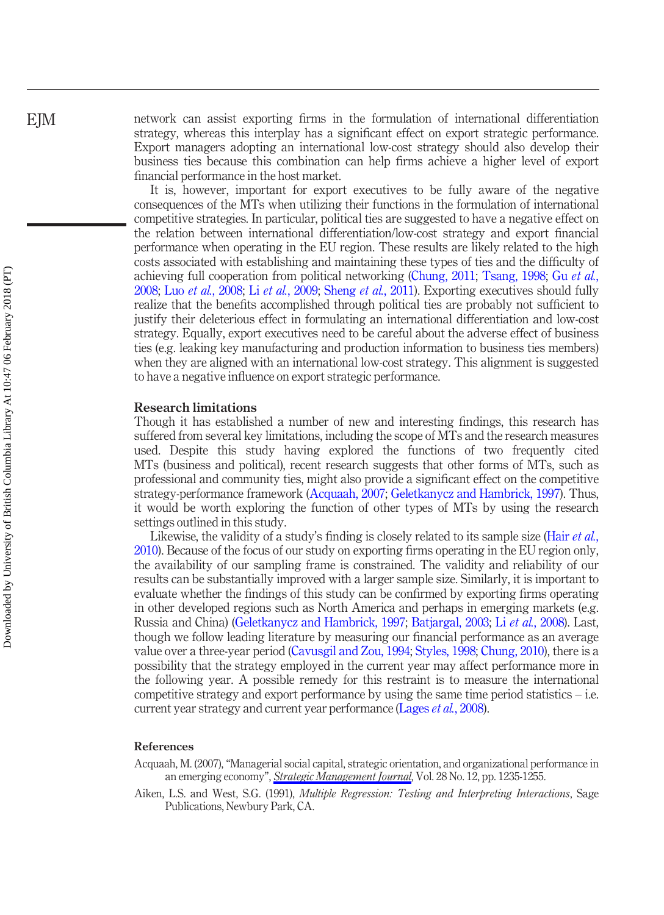network can assist exporting firms in the formulation of international differentiation strategy, whereas this interplay has a significant effect on export strategic performance. Export managers adopting an international low-cost strategy should also develop their business ties because this combination can help firms achieve a higher level of export financial performance in the host market.

It is, however, important for export executives to be fully aware of the negative consequences of the MTs when utilizing their functions in the formulation of international competitive strategies. In particular, political ties are suggested to have a negative effect on the relation between international differentiation/low-cost strategy and export financial performance when operating in the EU region. These results are likely related to the high costs associated with establishing and maintaining these types of ties and the difficulty of achieving full cooperation from political networking ([Chung, 2011](#page-17-6); [Tsang, 1998;](#page-19-7) Gu [et al.](#page-17-5), [2008](#page-17-5); Luo et al.[, 2008](#page-18-12); Li et al.[, 2009](#page-18-6); [Sheng](#page-19-6) et al., 2011). Exporting executives should fully realize that the benefits accomplished through political ties are probably not sufficient to justify their deleterious effect in formulating an international differentiation and low-cost strategy. Equally, export executives need to be careful about the adverse effect of business ties (e.g. leaking key manufacturing and production information to business ties members) when they are aligned with an international low-cost strategy. This alignment is suggested to have a negative influence on export strategic performance.

#### Research limitations

Though it has established a number of new and interesting findings, this research has suffered from several key limitations, including the scope of MTs and the research measures used. Despite this study having explored the functions of two frequently cited MTs (business and political), recent research suggests that other forms of MTs, such as professional and community ties, might also provide a significant effect on the competitive strategy-performance framework [\(Acquaah, 2007](#page-16-0); [Geletkanycz and Hambrick, 1997](#page-17-19)). Thus, it would be worth exploring the function of other types of MTs by using the research settings outlined in this study.

Likewise, the validity of a study's finding is closely related to its sample size (Hair *[et al.](#page-17-15)*, [2010](#page-17-15)). Because of the focus of our study on exporting firms operating in the EU region only, the availability of our sampling frame is constrained. The validity and reliability of our results can be substantially improved with a larger sample size. Similarly, it is important to evaluate whether the findings of this study can be confirmed by exporting firms operating in other developed regions such as North America and perhaps in emerging markets (e.g. Russia and China) ([Geletkanycz and Hambrick, 1997](#page-17-19); [Batjargal, 2003;](#page-17-20) Li et al.[, 2008](#page-18-19)). Last, though we follow leading literature by measuring our financial performance as an average value over a three-year period ([Cavusgil and Zou, 1994;](#page-17-4) [Styles, 1998;](#page-19-13) [Chung, 2010](#page-17-9)), there is a possibility that the strategy employed in the current year may affect performance more in the following year. A possible remedy for this restraint is to measure the international competitive strategy and export performance by using the same time period statistics  $-$  i.e. current year strategy and current year performance ([Lages](#page-18-14) et al., 2008).

#### References

- <span id="page-16-0"></span>Acquaah, M. (2007), "Managerial social capital, strategic orientation, and organizational performance in an emerging economy", *[Strategic Management Journal](http://www.emeraldinsight.com/action/showLinks?doi=10.1108%2FEJM-05-2015-0305&crossref=10.1002%2Fsmj.632&isi=000251021600004&citationId=p_1)*, Vol. 28 No. 12, pp. 1235-1255.
- <span id="page-16-1"></span>Aiken, L.S. and West, S.G. (1991), Multiple Regression: Testing and Interpreting Interactions, Sage Publications, Newbury Park, CA.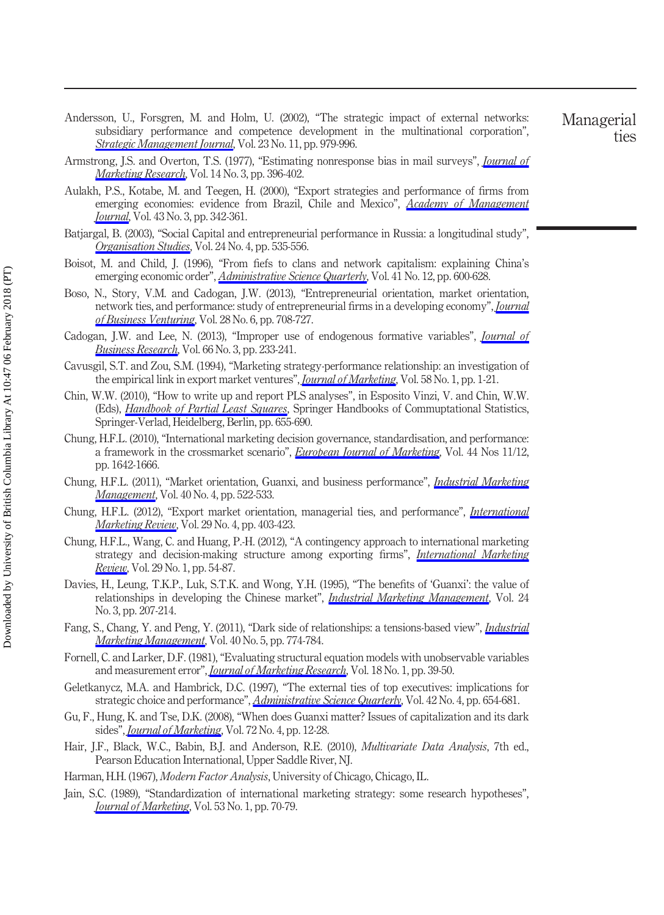- <span id="page-17-3"></span>Andersson, U., Forsgren, M. and Holm, U. (2002), "The strategic impact of external networks: subsidiary performance and competence development in the multinational corporation", [Strategic Management Journal](http://www.emeraldinsight.com/action/showLinks?doi=10.1108%2FEJM-05-2015-0305&crossref=10.1002%2Fsmj.267&isi=000178695900001&citationId=p_3), Vol. 23 No. 11, pp. 979-996.
- <span id="page-17-12"></span>Armstrong, J.S. and Overton, T.S. (1977), "Estimating nonresponse bias in mail surveys", *[Journal of](http://www.emeraldinsight.com/action/showLinks?doi=10.1108%2FEJM-05-2015-0305&crossref=10.2307%2F3150783&isi=A1977DS66100020&citationId=p_4)* [Marketing Research](http://www.emeraldinsight.com/action/showLinks?doi=10.1108%2FEJM-05-2015-0305&crossref=10.2307%2F3150783&isi=A1977DS66100020&citationId=p_4), Vol. 14 No. 3, pp. 396-402.
- <span id="page-17-0"></span>Aulakh, P.S., Kotabe, M. and Teegen, H. (2000), "Export strategies and performance of firms from emerging economies: evidence from Brazil, Chile and Mexico", *[Academy of Management](http://www.emeraldinsight.com/action/showLinks?doi=10.1108%2FEJM-05-2015-0305&crossref=10.2307%2F1556399&isi=000087811300007&citationId=p_5)* [Journal](http://www.emeraldinsight.com/action/showLinks?doi=10.1108%2FEJM-05-2015-0305&crossref=10.2307%2F1556399&isi=000087811300007&citationId=p_5), Vol. 43 No. 3, pp. 342-361.
- <span id="page-17-20"></span>Batjargal, B. (2003), "Social Capital and entrepreneurial performance in Russia: a longitudinal study", [Organisation Studies](http://www.emeraldinsight.com/action/showLinks?doi=10.1108%2FEJM-05-2015-0305&crossref=10.1177%2F0170840603024004002&isi=000183039500002&citationId=p_6), Vol. 24 No. 4, pp. 535-556.
- <span id="page-17-10"></span>Boisot, M. and Child, J. (1996), "From fiefs to clans and network capitalism: explaining China's emerging economic order", [Administrative Science Quarterly](http://www.emeraldinsight.com/action/showLinks?doi=10.1108%2FEJM-05-2015-0305&crossref=10.2307%2F2393869&citationId=p_7), Vol. 41 No. 12, pp. 600-628.
- <span id="page-17-7"></span>Boso, N., Story, V.M. and Cadogan, J.W. (2013), "Entrepreneurial orientation, market orientation, network ties, and performance: study of entrepreneurial firms in a developing economy", *[Journal](http://www.emeraldinsight.com/action/showLinks?doi=10.1108%2FEJM-05-2015-0305&crossref=10.1016%2Fj.jbusvent.2013.04.001&isi=000325594300003&citationId=p_8)* [of Business Venturing](http://www.emeraldinsight.com/action/showLinks?doi=10.1108%2FEJM-05-2015-0305&crossref=10.1016%2Fj.jbusvent.2013.04.001&isi=000325594300003&citationId=p_8), Vol. 28 No. 6, pp. 708-727.
- <span id="page-17-14"></span>Cadogan, J.W. and Lee, N. (2013), "Improper use of endogenous formative variables", *[Journal of](http://www.emeraldinsight.com/action/showLinks?doi=10.1108%2FEJM-05-2015-0305&crossref=10.1016%2Fj.jbusres.2012.08.006&citationId=p_9) [Business Research](http://www.emeraldinsight.com/action/showLinks?doi=10.1108%2FEJM-05-2015-0305&crossref=10.1016%2Fj.jbusres.2012.08.006&citationId=p_9)*, Vol. 66 No. 3, pp. 233-241.
- <span id="page-17-4"></span>Cavusgil, S.T. and Zou, S.M. (1994), "Marketing strategy-performance relationship: an investigation of the empirical link in export market ventures", *[Journal of Marketing](http://www.emeraldinsight.com/action/showLinks?doi=10.1108%2FEJM-05-2015-0305&crossref=10.2307%2F1252247&isi=A1994MZ52900001&citationId=p_10)*, Vol. 58 No. 1, pp. 1-21.
- <span id="page-17-16"></span>Chin, W.W. (2010), "How to write up and report PLS analyses", in Esposito Vinzi, V. and Chin, W.W. (Eds), *[Handbook of Partial Least Squares](http://www.emeraldinsight.com/action/showLinks?doi=10.1108%2FEJM-05-2015-0305&crossref=10.1007%2F978-3-540-32827-8_29&citationId=p_11)*, Springer Handbooks of Commuptational Statistics, Springer-Verlad, Heidelberg, Berlin, pp. 655-690.
- <span id="page-17-9"></span>Chung, H.F.L. (2010), "International marketing decision governance, standardisation, and performance: a framework in the crossmarket scenario", *[European Journal of Marketing](http://www.emeraldinsight.com/action/showLinks?doi=10.1108%2FEJM-05-2015-0305&system=10.1108%2F03090561011079828&isi=000285947600004&citationId=p_12)*, Vol. 44 Nos 11/12, pp. 1642-1666.
- <span id="page-17-6"></span>Chung, H.F.L. (2011), "Market orientation, Guanxi, and business performance", [Industrial Marketing](http://www.emeraldinsight.com/action/showLinks?doi=10.1108%2FEJM-05-2015-0305&crossref=10.1016%2Fj.indmarman.2010.12.008&isi=000291138700006&citationId=p_13) [Management](http://www.emeraldinsight.com/action/showLinks?doi=10.1108%2FEJM-05-2015-0305&crossref=10.1016%2Fj.indmarman.2010.12.008&isi=000291138700006&citationId=p_13), Vol. 40 No. 4, pp. 522-533.
- <span id="page-17-2"></span>Chung, H.F.L. (2012), "Export market orientation, managerial ties, and performance", [International](http://www.emeraldinsight.com/action/showLinks?doi=10.1108%2FEJM-05-2015-0305&system=10.1108%2F02651331211242638&isi=000311810400004&citationId=p_14) [Marketing Review](http://www.emeraldinsight.com/action/showLinks?doi=10.1108%2FEJM-05-2015-0305&system=10.1108%2F02651331211242638&isi=000311810400004&citationId=p_14), Vol. 29 No. 4, pp. 403-423.
- <span id="page-17-1"></span>Chung, H.F.L., Wang, C. and Huang, P.-H. (2012), "A contingency approach to international marketing strategy and decision-making structure among exporting firms", *[International Marketing](http://www.emeraldinsight.com/action/showLinks?doi=10.1108%2FEJM-05-2015-0305&system=10.1108%2F02651331211201543&isi=000302198100004&citationId=p_15)* [Review](http://www.emeraldinsight.com/action/showLinks?doi=10.1108%2FEJM-05-2015-0305&system=10.1108%2F02651331211201543&isi=000302198100004&citationId=p_15), Vol. 29 No. 1, pp. 54-87.
- <span id="page-17-8"></span>Davies, H., Leung, T.K.P., Luk, S.T.K. and Wong, Y.H. (1995), "The benefits of 'Guanxi': the value of relationships in developing the Chinese market", *[Industrial Marketing Management](http://www.emeraldinsight.com/action/showLinks?doi=10.1108%2FEJM-05-2015-0305&crossref=10.1016%2F0019-8501%2894%2900079-C&isi=A1995QT18600006&citationId=p_16)*, Vol. 24 No. 3, pp. 207-214.
- <span id="page-17-11"></span>Fang, S., Chang, Y. and Peng, Y. (2011), "Dark side of relationships: a tensions-based view", [Industrial](http://www.emeraldinsight.com/action/showLinks?doi=10.1108%2FEJM-05-2015-0305&crossref=10.1016%2Fj.indmarman.2011.02.003&isi=000293932800014&citationId=p_17) [Marketing Management](http://www.emeraldinsight.com/action/showLinks?doi=10.1108%2FEJM-05-2015-0305&crossref=10.1016%2Fj.indmarman.2011.02.003&isi=000293932800014&citationId=p_17), Vol. 40 No. 5, pp. 774-784.
- <span id="page-17-17"></span>Fornell, C. and Larker, D.F. (1981), "Evaluating structural equation models with unobservable variables and measurement error", *[Journal of Marketing Research](http://www.emeraldinsight.com/action/showLinks?doi=10.1108%2FEJM-05-2015-0305&crossref=10.2307%2F3151312&isi=A1981LC54900004&citationId=p_18)*, Vol. 18 No. 1, pp. 39-50.
- <span id="page-17-19"></span>Geletkanycz, M.A. and Hambrick, D.C. (1997), "The external ties of top executives: implications for strategic choice and performance", *[Administrative Science Quarterly](http://www.emeraldinsight.com/action/showLinks?doi=10.1108%2FEJM-05-2015-0305&crossref=10.2307%2F2393653&isi=000071211500002&citationId=p_19)*, Vol. 42 No. 4, pp. 654-681.
- <span id="page-17-5"></span>Gu, F., Hung, K. and Tse, D.K. (2008), "When does Guanxi matter? Issues of capitalization and its dark sides", *[Journal of Marketing](http://www.emeraldinsight.com/action/showLinks?doi=10.1108%2FEJM-05-2015-0305&crossref=10.1509%2Fjmkg.72.4.12&isi=000257335800002&citationId=p_20)*, Vol. 72 No. 4, pp. 12-28.
- <span id="page-17-15"></span>Hair, J.F., Black, W.C., Babin, B.J. and Anderson, R.E. (2010), Multivariate Data Analysis, 7th ed., Pearson Education International, Upper Saddle River, NJ.
- <span id="page-17-13"></span>Harman, H.H. (1967), Modern Factor Analysis, University of Chicago, Chicago, IL.
- <span id="page-17-18"></span>Jain, S.C. (1989), "Standardization of international marketing strategy: some research hypotheses", [Journal of Marketing](http://www.emeraldinsight.com/action/showLinks?doi=10.1108%2FEJM-05-2015-0305&crossref=10.2307%2F1251525&isi=A1989R876600005&citationId=p_23), Vol. 53 No. 1, pp. 70-79.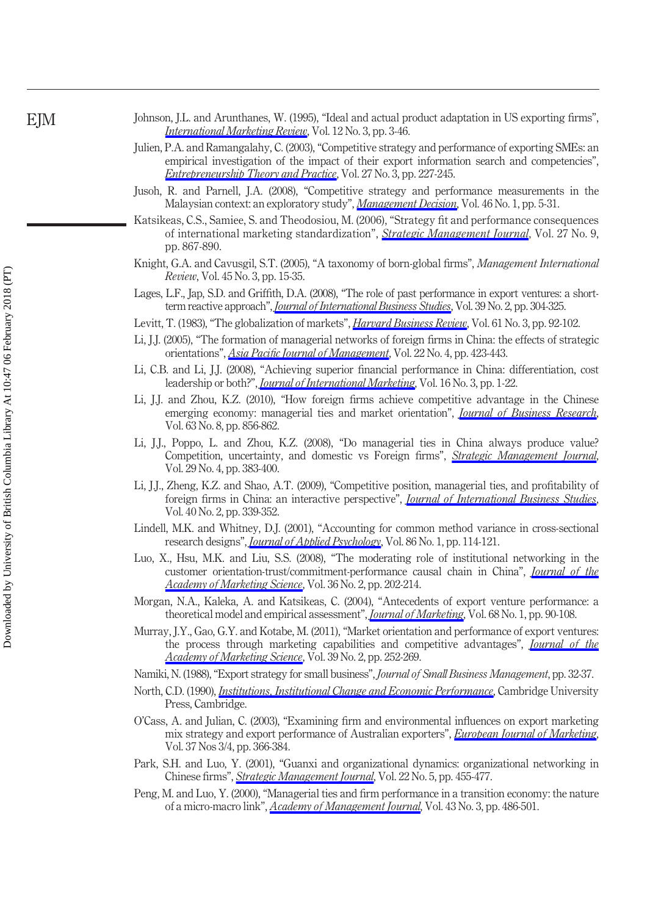- <span id="page-18-16"></span>Johnson, J.L. and Arunthanes, W. (1995), "Ideal and actual product adaptation in US exporting firms", [International Marketing Review](http://www.emeraldinsight.com/action/showLinks?doi=10.1108%2FEJM-05-2015-0305&system=10.1108%2F02651339510091726&citationId=p_24), Vol. 12 No. 3, pp. 3-46.
- <span id="page-18-3"></span>Julien, P.A. and Ramangalahy, C. (2003), "Competitive strategy and performance of exporting SMEs: an empirical investigation of the impact of their export information search and competencies", [Entrepreneurship Theory and Practice](http://www.emeraldinsight.com/action/showLinks?doi=10.1108%2FEJM-05-2015-0305&crossref=10.1111%2F1540-8520.t01-1-00002&citationId=p_25), Vol. 27 No. 3, pp. 227-245.
- <span id="page-18-2"></span>Jusoh, R. and Parnell, J.A. (2008), "Competitive strategy and performance measurements in the Malaysian context: an exploratory study", *[Management Decision](http://www.emeraldinsight.com/action/showLinks?doi=10.1108%2FEJM-05-2015-0305&system=10.1108%2F00251740810846716&isi=000258552800001&citationId=p_26)*, Vol. 46 No. 1, pp. 5-31.
- <span id="page-18-17"></span>Katsikeas, C.S., Samiee, S. and Theodosiou, M. (2006), "Strategy fit and performance consequences of international marketing standardization", [Strategic Management Journal](http://www.emeraldinsight.com/action/showLinks?doi=10.1108%2FEJM-05-2015-0305&crossref=10.1002%2Fsmj.549&isi=000240046700004&citationId=p_27), Vol. 27 No. 9, pp. 867-890.
- <span id="page-18-0"></span>Knight, G.A. and Cavusgil, S.T. (2005), "A taxonomy of born-global firms", Management International Review, Vol. 45 No. 3, pp. 15-35.
- <span id="page-18-14"></span>Lages, L.F., Jap, S.D. and Griffith, D.A. (2008), "The role of past performance in export ventures: a shortterm reactive approach", *[Journal of International Business Studies](http://www.emeraldinsight.com/action/showLinks?doi=10.1108%2FEJM-05-2015-0305&crossref=10.1057%2Fpalgrave.jibs.8400339&isi=000253280000010&citationId=p_29)*, Vol. 39 No. 2, pp. 304-325.
- <span id="page-18-20"></span>Levitt, T. (1983), "The globalization of markets", *[Harvard Business Review](http://www.emeraldinsight.com/action/showLinks?doi=10.1108%2FEJM-05-2015-0305&isi=A1983RD39000017&citationId=p_30)*, Vol. 61 No. 3, pp. 92-102.
- <span id="page-18-13"></span>Li, J.J. (2005), "The formation of managerial networks of foreign firms in China: the effects of strategic orientations", *Asia Pacifi[c Journal of Management](http://www.emeraldinsight.com/action/showLinks?doi=10.1108%2FEJM-05-2015-0305&crossref=10.1007%2Fs10490-005-4118-8&citationId=p_31)*, Vol. 22 No. 4, pp. 423-443.
- <span id="page-18-1"></span>Li, C.B. and Li, J.J. (2008), "Achieving superior financial performance in China: differentiation, cost leadership or both?", *[Journal of International Marketing](http://www.emeraldinsight.com/action/showLinks?doi=10.1108%2FEJM-05-2015-0305&crossref=10.1509%2Fjimk.16.3.1&isi=000259313900001&citationId=p_32)*, Vol. 16 No. 3, pp. 1-22.
- <span id="page-18-11"></span>Li, J.J. and Zhou, K.Z. (2010), "How foreign firms achieve competitive advantage in the Chinese emerging economy: managerial ties and market orientation", *[Journal of Business Research](http://www.emeraldinsight.com/action/showLinks?doi=10.1108%2FEJM-05-2015-0305&crossref=10.1016%2Fj.jbusres.2009.06.011&isi=000280622200010&citationId=p_33)*, Vol. 63 No. 8, pp. 856-862.
- <span id="page-18-19"></span>Li, J.J., Poppo, L. and Zhou, K.Z. (2008), "Do managerial ties in China always produce value? Competition, uncertainty, and domestic vs Foreign firms", [Strategic Management Journal](http://www.emeraldinsight.com/action/showLinks?doi=10.1108%2FEJM-05-2015-0305&crossref=10.1002%2Fsmj.665&isi=000254306400003&citationId=p_34) Vol. 29 No. 4, pp. 383-400.
- <span id="page-18-6"></span>Li, J.J., Zheng, K.Z. and Shao, A.T. (2009), "Competitive position, managerial ties, and profitability of foreign firms in China: an interactive perspective", *[Journal of International Business Studies](http://www.emeraldinsight.com/action/showLinks?doi=10.1108%2FEJM-05-2015-0305&crossref=10.1057%2Fjibs.2008.76&isi=000263199300010&citationId=p_35)* Vol. 40 No. 2, pp. 339-352.
- <span id="page-18-15"></span>Lindell, M.K. and Whitney, D.J. (2001), "Accounting for common method variance in cross-sectional research designs", *[Journal of Applied Psychology](http://www.emeraldinsight.com/action/showLinks?doi=10.1108%2FEJM-05-2015-0305&crossref=10.1037%2F0021-9010.86.1.114&isi=000170878100010&citationId=p_36)*, Vol. 86 No. 1, pp. 114-121.
- <span id="page-18-12"></span>Luo, X., Hsu, M.K. and Liu, S.S. (2008), "The moderating role of institutional networking in the customer orientation-trust/commitment-performance causal chain in China", *[Journal of the](http://www.emeraldinsight.com/action/showLinks?doi=10.1108%2FEJM-05-2015-0305&crossref=10.1007%2Fs11747-007-0047-z&isi=000255876700005&citationId=p_37)* [Academy of Marketing Science](http://www.emeraldinsight.com/action/showLinks?doi=10.1108%2FEJM-05-2015-0305&crossref=10.1007%2Fs11747-007-0047-z&isi=000255876700005&citationId=p_37), Vol. 36 No. 2, pp. 202-214.
- <span id="page-18-8"></span>Morgan, N.A., Kaleka, A. and Katsikeas, C. (2004), "Antecedents of export venture performance: a theoretical model and empirical assessment", *[Journal of Marketing](http://www.emeraldinsight.com/action/showLinks?doi=10.1108%2FEJM-05-2015-0305&crossref=10.1509%2Fjmkg.68.1.90.24028&isi=000188005600007&citationId=p_38)*, Vol. 68 No. 1, pp. 90-108.
- <span id="page-18-5"></span>Murray, J.Y., Gao, G.Y. and Kotabe, M. (2011), "Market orientation and performance of export ventures: the process through marketing capabilities and competitive advantages", *[Journal of the](http://www.emeraldinsight.com/action/showLinks?doi=10.1108%2FEJM-05-2015-0305&crossref=10.1007%2Fs11747-010-0195-4&isi=000289793000005&citationId=p_39)* [Academy of Marketing Science](http://www.emeraldinsight.com/action/showLinks?doi=10.1108%2FEJM-05-2015-0305&crossref=10.1007%2Fs11747-010-0195-4&isi=000289793000005&citationId=p_39), Vol. 39 No. 2, pp. 252-269.
- <span id="page-18-4"></span>Namiki, N. (1988), "Export strategy for small business", Journal of Small Business Management, pp. 32-37.
- <span id="page-18-10"></span>North, C.D. (1990), *[Institutions, Institutional Change and Economic Performance](http://www.emeraldinsight.com/action/showLinks?doi=10.1108%2FEJM-05-2015-0305&crossref=10.1017%2FCBO9780511808678&citationId=p_41)*, Cambridge University Press, Cambridge.
- <span id="page-18-18"></span>O'Cass, A. and Julian, C. (2003), "Examining firm and environmental influences on export marketing mix strategy and export performance of Australian exporters", *[European Journal of Marketing](http://www.emeraldinsight.com/action/showLinks?doi=10.1108%2FEJM-05-2015-0305&system=10.1108%2F03090560310459005&citationId=p_42)*, Vol. 37 Nos 3/4, pp. 366-384.
- <span id="page-18-9"></span>Park, S.H. and Luo, Y. (2001), "Guanxi and organizational dynamics: organizational networking in Chinese firms", *[Strategic Management Journal](http://www.emeraldinsight.com/action/showLinks?doi=10.1108%2FEJM-05-2015-0305&crossref=10.1002%2Fsmj.167&isi=000168323600004&citationId=p_43)*, Vol. 22 No. 5, pp. 455-477.
- <span id="page-18-7"></span>Peng, M. and Luo, Y. (2000), "Managerial ties and firm performance in a transition economy: the nature of a micro-macro link", *[Academy of Management Journal](http://www.emeraldinsight.com/action/showLinks?doi=10.1108%2FEJM-05-2015-0305&crossref=10.2307%2F1556406&isi=000087811300014&citationId=p_44)*, Vol. 43 No. 3, pp. 486-501.